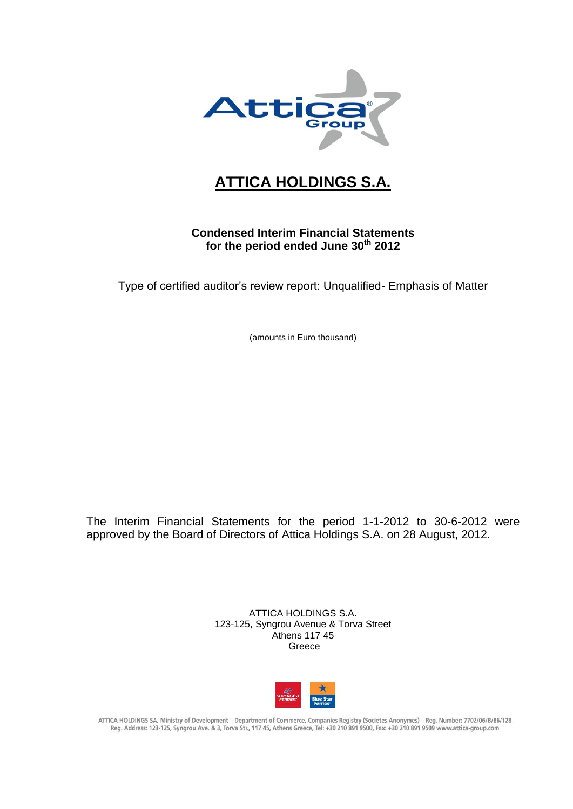

# **ATTICA HOLDINGS S.A.**

## **Condensed Interim Financial Statements for the period ended June 30th 2012**

Type of certified auditor's review report: Unqualified- Emphasis of Matter

(amounts in Euro thousand)

The Interim Financial Statements for the period 1-1-2012 to 30-6-2012 were approved by the Board of Directors of Attica Holdings S.A. on 28 August, 2012.

> ATTICA HOLDINGS S.A. 123-125, Syngrou Avenue & Torva Street Athens 117 45 Greece



ATTICA HOLDINGS SA, Ministry of Development - Department of Commerce, Companies Registry (Societes Anonymes) - Reg. Number: 7702/06/B/86/128 Reg. Address: 123-125, Syngrou Ave. & 3, Torva Str., 117 45, Athens Greece, Tel: +30 210 891 9500, Fax: +30 210 891 9509 www.attica-group.com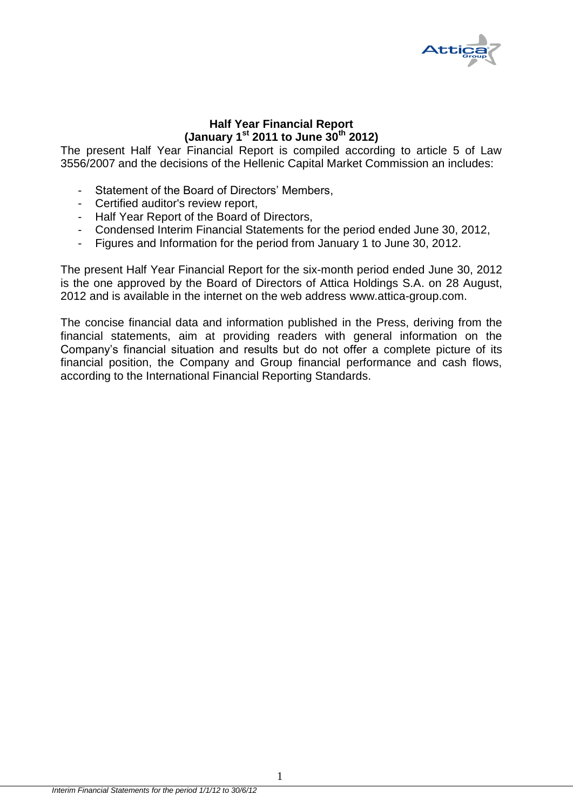

## **Half Year Financial Report (January 1st 2011 to June 30th 2012)**

The present Half Year Financial Report is compiled according to article 5 of Law 3556/2007 and the decisions of the Hellenic Capital Market Commission an includes:

- Statement of the Board of Directors' Members,
- Certified auditor's review report,
- Half Year Report of the Board of Directors,
- Condensed Interim Financial Statements for the period ended June 30, 2012,
- Figures and Information for the period from January 1 to June 30, 2012.

The present Half Year Financial Report for the six-month period ended June 30, 2012 is the one approved by the Board of Directors of Attica Holdings S.A. on 28 August, 2012 and is available in the internet on the web address [www.attica-group.com.](http://www.attica-group.com/)

The concise financial data and information published in the Press, deriving from the financial statements, aim at providing readers with general information on the Company's financial situation and results but do not offer a complete picture of its financial position, the Company and Group financial performance and cash flows, according to the International Financial Reporting Standards.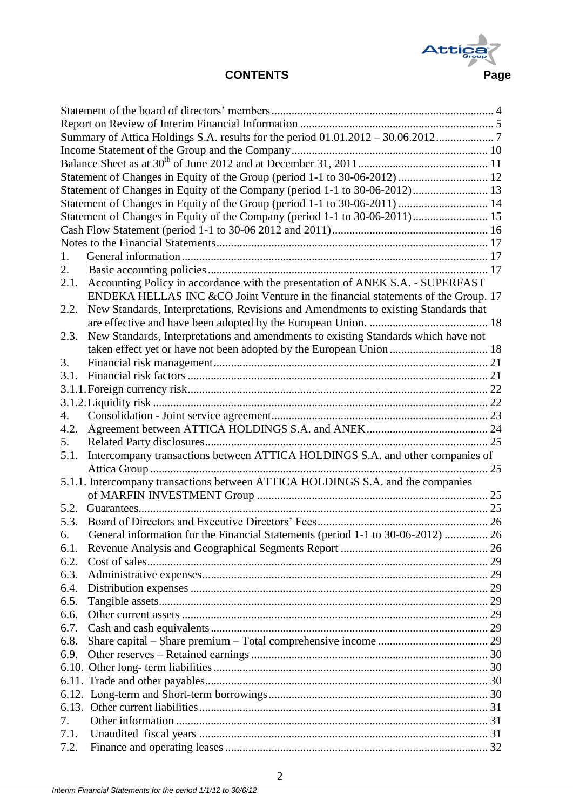

|      | Statement of Changes in Equity of the Group (period 1-1 to 30-06-2012)  12          |  |
|------|-------------------------------------------------------------------------------------|--|
|      | Statement of Changes in Equity of the Company (period 1-1 to 30-06-2012) 13         |  |
|      | Statement of Changes in Equity of the Group (period 1-1 to 30-06-2011)  14          |  |
|      | Statement of Changes in Equity of the Company (period 1-1 to 30-06-2011) 15         |  |
|      |                                                                                     |  |
|      |                                                                                     |  |
| 1.   |                                                                                     |  |
| 2.   |                                                                                     |  |
| 2.1. | Accounting Policy in accordance with the presentation of ANEK S.A. - SUPERFAST      |  |
|      | ENDEKA HELLAS INC & CO Joint Venture in the financial statements of the Group. 17   |  |
| 2.2. | New Standards, Interpretations, Revisions and Amendments to existing Standards that |  |
|      |                                                                                     |  |
| 2.3. | New Standards, Interpretations and amendments to existing Standards which have not  |  |
|      |                                                                                     |  |
| 3.   |                                                                                     |  |
| 3.1. |                                                                                     |  |
|      |                                                                                     |  |
|      |                                                                                     |  |
|      |                                                                                     |  |
| 4.   |                                                                                     |  |
| 4.2. |                                                                                     |  |
| 5.   |                                                                                     |  |
| 5.1. | Intercompany transactions between ATTICA HOLDINGS S.A. and other companies of       |  |
|      |                                                                                     |  |
|      | 5.1.1. Intercompany transactions between ATTICA HOLDINGS S.A. and the companies     |  |
|      |                                                                                     |  |
| 5.2. |                                                                                     |  |
| 5.3. |                                                                                     |  |
| რ. . | General information for the Financial Statements (period 1-1 to 30-06-2012)  26     |  |
| 6.1. |                                                                                     |  |
| 6.2. |                                                                                     |  |
| 6.3. |                                                                                     |  |
| 6.4. |                                                                                     |  |
| 6.5. |                                                                                     |  |
| 6.6. |                                                                                     |  |
| 6.7. |                                                                                     |  |
| 6.8. |                                                                                     |  |
| 6.9. |                                                                                     |  |
|      |                                                                                     |  |
|      |                                                                                     |  |
|      |                                                                                     |  |
|      |                                                                                     |  |
| 7.   |                                                                                     |  |
| 7.1. |                                                                                     |  |
| 7.2. |                                                                                     |  |
|      |                                                                                     |  |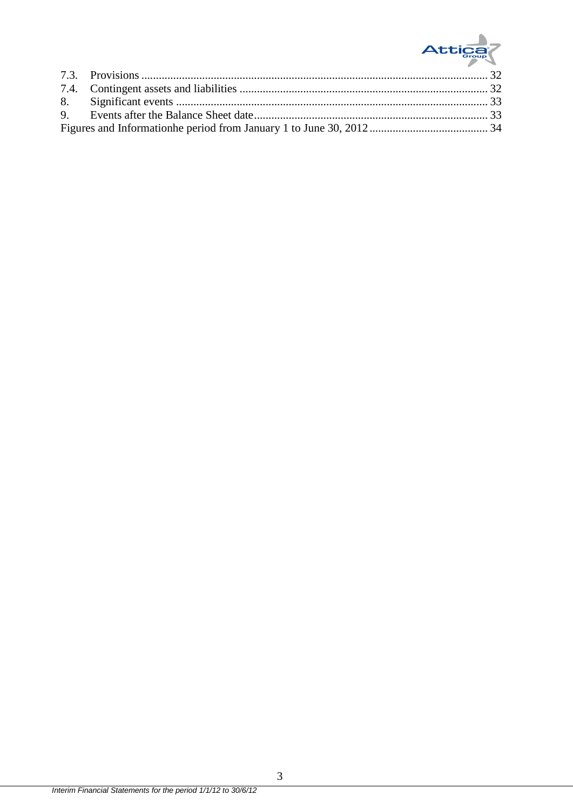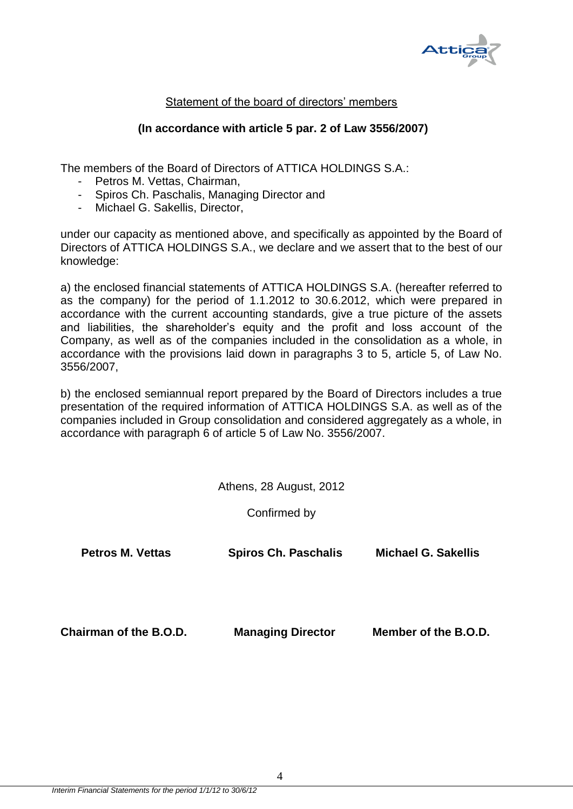

## Statement of the board of directors' members

## **(In accordance with article 5 par. 2 of Law 3556/2007)**

<span id="page-4-0"></span>The members of the Board of Directors of ATTICA HOLDINGS S.A.:

- Petros M. Vettas, Chairman,
- Spiros Ch. Paschalis, Managing Director and
- Michael G. Sakellis, Director,

under our capacity as mentioned above, and specifically as appointed by the Board of Directors of ATTICA HOLDINGS S.A., we declare and we assert that to the best of our knowledge:

a) the enclosed financial statements of ATTICA HOLDINGS S.A. (hereafter referred to as the company) for the period of 1.1.2012 to 30.6.2012, which were prepared in accordance with the current accounting standards, give a true picture of the assets and liabilities, the shareholder's equity and the profit and loss account of the Company, as well as of the companies included in the consolidation as a whole, in accordance with the provisions laid down in paragraphs 3 to 5, article 5, of Law No. 3556/2007,

b) the enclosed semiannual report prepared by the Board of Directors includes a true presentation of the required information of ATTICA HOLDINGS S.A. as well as of the companies included in Group consolidation and considered aggregately as a whole, in accordance with paragraph 6 of article 5 of Law No. 3556/2007.

Athens, 28 August, 2012

Confirmed by

**Petros M. Vettas Spiros Ch. Paschalis Michael G. Sakellis Chairman of the B.O.D. Managing Director Member of the B.O.D.**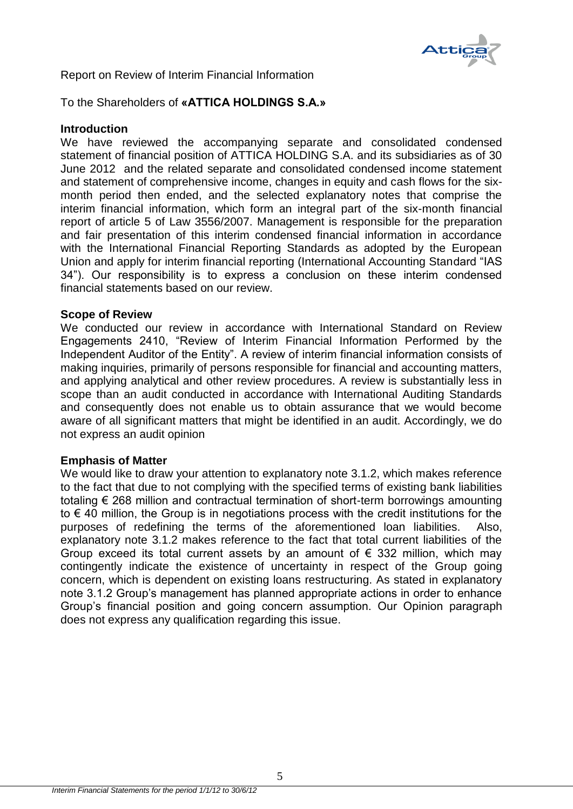

<span id="page-5-0"></span>Report on Review of Interim Financial Information

To the Shareholders of **«ATTICA HOLDINGS S.A.»**

## **Introduction**

We have reviewed the accompanying separate and consolidated condensed statement of financial position of ATTICA HOLDING S.A. and its subsidiaries as of 30 June 2012 and the related separate and consolidated condensed income statement and statement of comprehensive income, changes in equity and cash flows for the sixmonth period then ended, and the selected explanatory notes that comprise the interim financial information, which form an integral part of the six-month financial report of article 5 of Law 3556/2007. Management is responsible for the preparation and fair presentation of this interim condensed financial information in accordance with the International Financial Reporting Standards as adopted by the European Union and apply for interim financial reporting (International Accounting Standard "IAS 34"). Our responsibility is to express a conclusion on these interim condensed financial statements based on our review.

## **Scope of Review**

We conducted our review in accordance with International Standard on Review Engagements 2410, "Review of Interim Financial Information Performed by the Independent Auditor of the Entity". A review of interim financial information consists of making inquiries, primarily of persons responsible for financial and accounting matters, and applying analytical and other review procedures. A review is substantially less in scope than an audit conducted in accordance with International Auditing Standards and consequently does not enable us to obtain assurance that we would become aware of all significant matters that might be identified in an audit. Accordingly, we do not express an audit opinion

### **Emphasis of Matter**

We would like to draw your attention to explanatory note 3.1.2, which makes reference to the fact that due to not complying with the specified terms of existing bank liabilities totaling € 268 million and contractual termination of short-term borrowings amounting to  $\epsilon$  40 million, the Group is in negotiations process with the credit institutions for the purposes of redefining the terms of the aforementioned loan liabilities. Also, explanatory note 3.1.2 makes reference to the fact that total current liabilities of the Group exceed its total current assets by an amount of  $\epsilon$  332 million, which may contingently indicate the existence of uncertainty in respect of the Group going concern, which is dependent on existing loans restructuring. As stated in explanatory note 3.1.2 Group's management has planned appropriate actions in order to enhance Group's financial position and going concern assumption. Our Opinion paragraph does not express any qualification regarding this issue.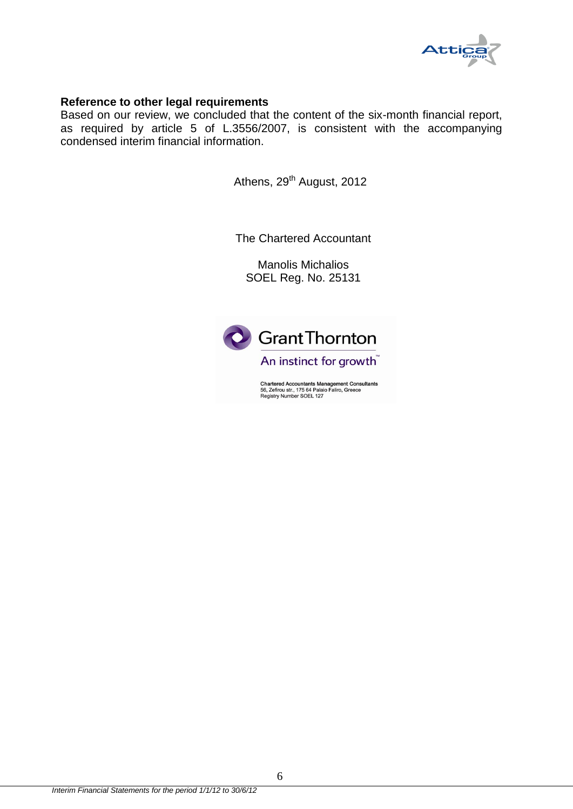

## **Reference to other legal requirements**

Based on our review, we concluded that the content of the six-month financial report, as required by article 5 of L.3556/2007, is consistent with the accompanying condensed interim financial information.

Athens, 29<sup>th</sup> August, 2012

The Chartered Accountant

Manolis Michalios SOEL Reg. No. 25131



Chartered Accountants Management Consultants<br>56, Zefirou str., 175 64 Palaio Faliro, Greece<br>Registry Number SOEL 127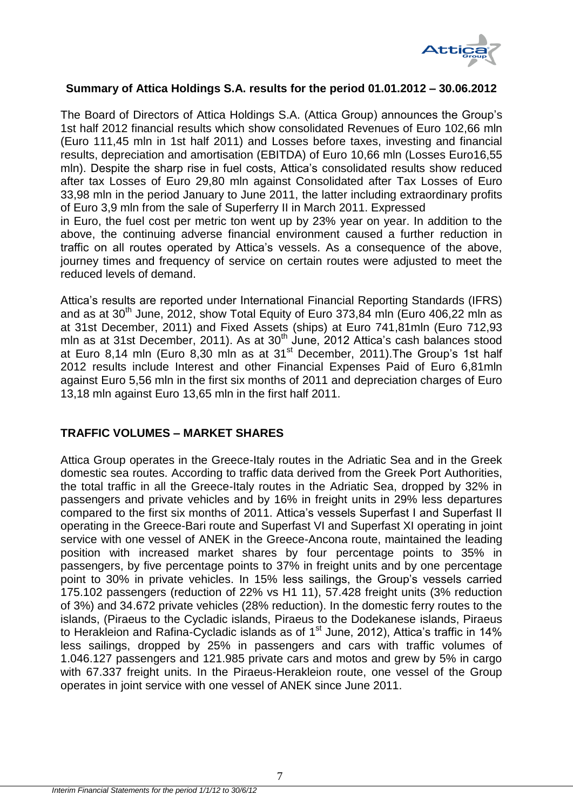

## <span id="page-7-0"></span>**Summary of Attica Holdings S.A. results for the period 01.01.2012 – 30.06.2012**

The Board of Directors of Attica Holdings S.A. (Attica Group) announces the Group's 1st half 2012 financial results which show consolidated Revenues of Euro 102,66 mln (Euro 111,45 mln in 1st half 2011) and Losses before taxes, investing and financial results, depreciation and amortisation (EBITDA) of Euro 10,66 mln (Losses Euro16,55 mln). Despite the sharp rise in fuel costs, Attica's consolidated results show reduced after tax Losses of Euro 29,80 mln against Consolidated after Tax Losses of Euro 33,98 mln in the period January to June 2011, the latter including extraordinary profits of Euro 3,9 mln from the sale of Superferry II in March 2011. Expressed

in Euro, the fuel cost per metric ton went up by 23% year on year. In addition to the above, the continuing adverse financial environment caused a further reduction in traffic on all routes operated by Attica's vessels. As a consequence of the above, journey times and frequency of service on certain routes were adjusted to meet the reduced levels of demand.

Attica's results are reported under International Financial Reporting Standards (IFRS) and as at  $30<sup>th</sup>$  June, 2012, show Total Equity of Euro 373,84 mln (Euro 406,22 mln as at 31st December, 2011) and Fixed Assets (ships) at Euro 741,81mln (Euro 712,93 mln as at 31st December, 2011). As at 30<sup>th</sup> June, 2012 Attica's cash balances stood at Euro 8,14 mln (Euro 8,30 mln as at  $31<sup>st</sup>$  December, 2011). The Group's 1st half 2012 results include Interest and other Financial Expenses Paid of Euro 6,81mln against Euro 5,56 mln in the first six months of 2011 and depreciation charges of Euro 13,18 mln against Euro 13,65 mln in the first half 2011.

## **TRAFFIC VOLUMES – MARKET SHARES**

Attica Group operates in the Greece-Italy routes in the Adriatic Sea and in the Greek domestic sea routes. According to traffic data derived from the Greek Port Authorities, the total traffic in all the Greece-Italy routes in the Adriatic Sea, dropped by 32% in passengers and private vehicles and by 16% in freight units in 29% less departures compared to the first six months of 2011. Attica's vessels Superfast I and Superfast II operating in the Greece-Bari route and Superfast VI and Superfast XI operating in joint service with one vessel of ANEK in the Greece-Ancona route, maintained the leading position with increased market shares by four percentage points to 35% in passengers, by five percentage points to 37% in freight units and by one percentage point to 30% in private vehicles. In 15% less sailings, the Group's vessels carried 175.102 passengers (reduction of 22% vs H1 11), 57.428 freight units (3% reduction of 3%) and 34.672 private vehicles (28% reduction). In the domestic ferry routes to the islands, (Piraeus to the Cycladic islands, Piraeus to the Dodekanese islands, Piraeus to Herakleion and Rafina-Cycladic islands as of 1<sup>st</sup> June, 2012), Attica's traffic in 14% less sailings, dropped by 25% in passengers and cars with traffic volumes of 1.046.127 passengers and 121.985 private cars and motos and grew by 5% in cargo with 67.337 freight units. In the Piraeus-Herakleion route, one vessel of the Group operates in joint service with one vessel of ANEK since June 2011.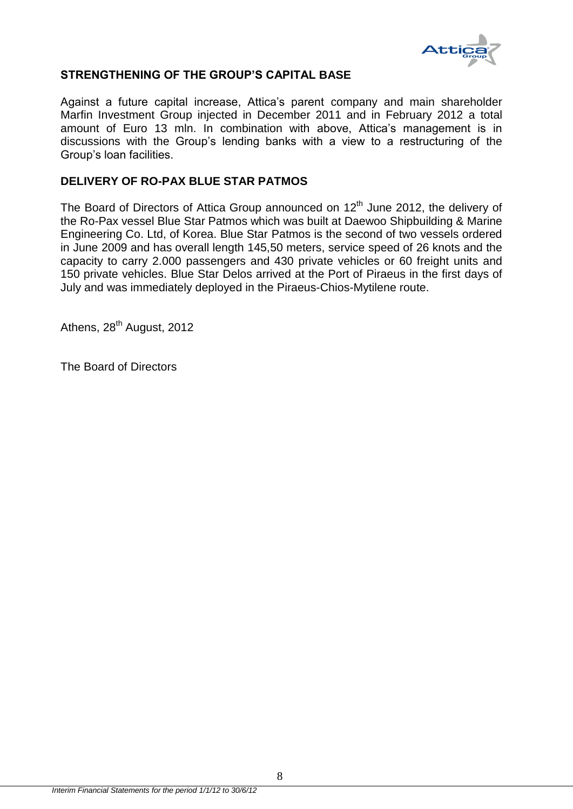

## **STRENGTHENING OF THE GROUP'S CAPITAL BASE**

Against a future capital increase, Attica's parent company and main shareholder Marfin Investment Group injected in December 2011 and in February 2012 a total amount of Euro 13 mln. In combination with above, Attica's management is in discussions with the Group's lending banks with a view to a restructuring of the Group's loan facilities.

## **DELIVERY OF RO-PAX BLUE STAR PATMOS**

The Board of Directors of Attica Group announced on  $12<sup>th</sup>$  June 2012, the delivery of the Ro-Pax vessel Blue Star Patmos which was built at Daewoo Shipbuilding & Marine Engineering Co. Ltd, of Korea. Blue Star Patmos is the second of two vessels ordered in June 2009 and has overall length 145,50 meters, service speed of 26 knots and the capacity to carry 2.000 passengers and 430 private vehicles or 60 freight units and 150 private vehicles. Blue Star Delos arrived at the Port of Piraeus in the first days of July and was immediately deployed in the Piraeus-Chios-Mytilene route.

Athens, 28<sup>th</sup> August, 2012

The Board of Directors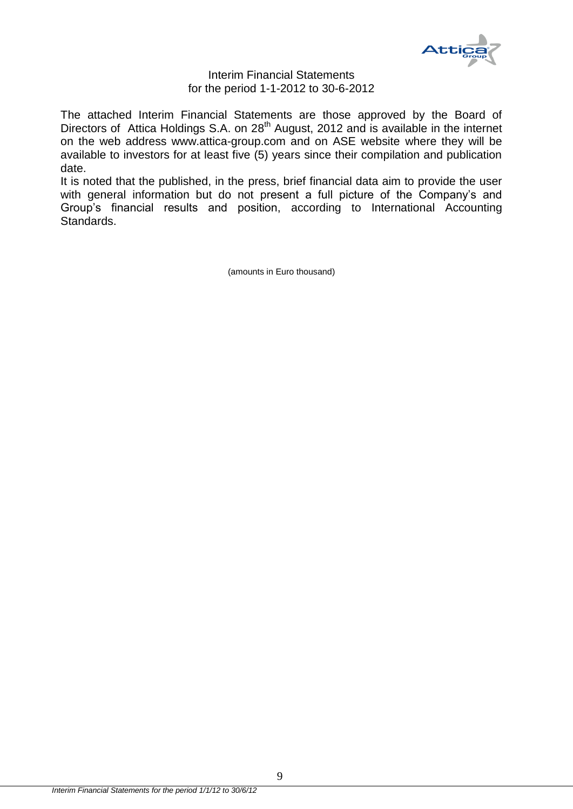

#### Interim Financial Statements for the period 1-1-2012 to 30-6-2012

The attached Interim Financial Statements are those approved by the Board of Directors of Attica Holdings S.A. on 28<sup>th</sup> August, 2012 and is available in the internet on the web address [www.attica-group.com](http://www.attica-group.com/) and on ASE website where they will be available to investors for at least five (5) years since their compilation and publication date.

It is noted that the published, in the press, brief financial data aim to provide the user with general information but do not present a full picture of the Company's and Group's financial results and position, according to International Accounting Standards.

(amounts in Euro thousand)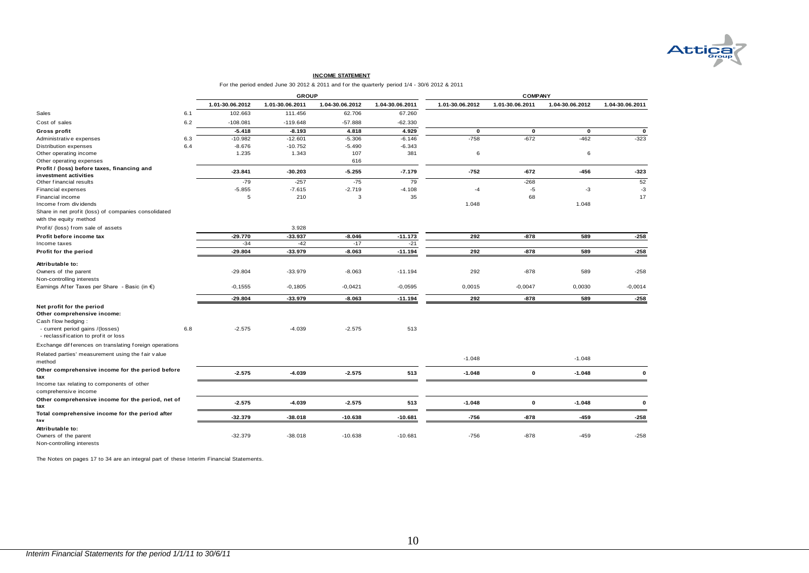

#### **INCOME STATEMENT**

For the period ended June 30 2012 & 2011 and for the quarterly period 1/4 - 30/6 2012 & 2011

|                                                                          |     |                 |                 |                 | For the period ended June 30 2012 & 2011 and for the quarterly period 1/4 - 30/6 2012 & 2011 |                 |                    |                 |                 |
|--------------------------------------------------------------------------|-----|-----------------|-----------------|-----------------|----------------------------------------------------------------------------------------------|-----------------|--------------------|-----------------|-----------------|
|                                                                          |     |                 | <b>GROUP</b>    |                 |                                                                                              |                 | <b>COMPANY</b>     |                 |                 |
|                                                                          |     | 1.01-30.06.2012 | 1.01-30.06.2011 | 1.04-30.06.2012 | 1.04-30.06.2011                                                                              | 1.01-30.06.2012 | 1.01-30.06.2011    | 1.04-30.06.2012 | 1.04-30.06.2011 |
| Sales                                                                    | 6.1 | 102.663         | 111.456         | 62.706          | 67.260                                                                                       |                 |                    |                 |                 |
| Cost of sales                                                            | 6.2 | $-108.081$      | $-119.648$      | $-57.888$       | $-62.330$                                                                                    |                 |                    |                 |                 |
| Gross profit                                                             |     | $-5.418$        | $-8.193$        | 4.818           | 4.929                                                                                        | $\mathbf 0$     | 0                  | $\mathbf 0$     | $\mathbf 0$     |
| Administrative expenses                                                  | 6.3 | $-10.982$       | $-12.601$       | $-5.306$        | $-6.146$                                                                                     | $-758$          | $-672$             | $-462$          | $-323$          |
| Distribution expenses                                                    | 6.4 | $-8.676$        | $-10.752$       | $-5.490$        | $-6.343$                                                                                     |                 |                    |                 |                 |
| Other operating income                                                   |     | 1.235           | 1.343           | 107             | 381                                                                                          | 6               |                    | 6               |                 |
| Other operating expenses                                                 |     |                 |                 | 616             |                                                                                              |                 |                    |                 |                 |
| Profit / (loss) before taxes, financing and                              |     | $-23.841$       | $-30.203$       | $-5.255$        | $-7.179$                                                                                     | $-752$          | $-672$             | -456            | $-323$          |
| investment activities                                                    |     |                 |                 |                 |                                                                                              |                 |                    |                 |                 |
| Other financial results                                                  |     | $-79$           | $-257$          | $-75$           | 79                                                                                           |                 | $-268$             |                 | 52              |
| Financial expenses                                                       |     | $-5.855$        | $-7.615$        | $-2.719$        | $-4.108$                                                                                     | $-4$            | $-5$               | $-3$            | $-3$            |
| Financial income                                                         |     | 5               | 210             | 3               | 35                                                                                           |                 | 68                 |                 | 17              |
| Income from dividends                                                    |     |                 |                 |                 |                                                                                              | 1.048           |                    | 1.048           |                 |
| Share in net profit (loss) of companies consolidated                     |     |                 |                 |                 |                                                                                              |                 |                    |                 |                 |
| with the equity method                                                   |     |                 |                 |                 |                                                                                              |                 |                    |                 |                 |
| Profit/ (loss) from sale of assets                                       |     |                 | 3.928           |                 |                                                                                              |                 |                    |                 |                 |
| Profit before income tax                                                 |     | $-29.770$       | $-33.937$       | $-8.046$        | $-11.173$                                                                                    | 292             | $-878$             | 589             | $-258$          |
| Income taxes                                                             |     | $-34$           | $-42$           | $-17$           | $-21$                                                                                        |                 |                    |                 |                 |
| Profit for the period                                                    |     | $-29.804$       | $-33.979$       | $-8.063$        | $-11.194$                                                                                    | 292             | $-878$             | 589             | $-258$          |
| Attributable to:                                                         |     |                 |                 |                 |                                                                                              |                 |                    |                 |                 |
| Owners of the parent                                                     |     | $-29.804$       | $-33.979$       | $-8.063$        | $-11.194$                                                                                    | 292             | $-878$             | 589             | $-258$          |
| Non-controlling interests                                                |     |                 |                 |                 |                                                                                              |                 |                    |                 |                 |
| Earnings After Taxes per Share - Basic (in $\epsilon$ )                  |     | $-0, 1555$      | $-0,1805$       | $-0,0421$       | $-0,0595$                                                                                    | 0,0015          | $-0,0047$          | 0,0030          | $-0,0014$       |
|                                                                          |     | $-29.804$       | $-33.979$       | $-8.063$        | $-11.194$                                                                                    | 292             | $-878$             | 589             | $-258$          |
| Net profit for the period                                                |     |                 |                 |                 |                                                                                              |                 |                    |                 |                 |
| Other comprehensive income:                                              |     |                 |                 |                 |                                                                                              |                 |                    |                 |                 |
| Cash flow hedging:                                                       |     |                 |                 |                 |                                                                                              |                 |                    |                 |                 |
| - current period gains /(losses)<br>- reclassification to profit or loss | 6.8 | $-2.575$        | $-4.039$        | $-2.575$        | 513                                                                                          |                 |                    |                 |                 |
| Exchange differences on translating foreign operations                   |     |                 |                 |                 |                                                                                              |                 |                    |                 |                 |
| Related parties' measurement using the fair value<br>method              |     |                 |                 |                 |                                                                                              | $-1.048$        |                    | $-1.048$        |                 |
| Other comprehensive income for the period before<br>tax                  |     | $-2.575$        | -4.039          | $-2.575$        | 513                                                                                          | $-1.048$        | $\pmb{\mathsf{o}}$ | $-1.048$        | $\mathbf{o}$    |
| Income tax relating to components of other<br>comprehensive income       |     |                 |                 |                 |                                                                                              |                 |                    |                 |                 |
| Other comprehensive income for the period, net of<br>tax                 |     | $-2.575$        | $-4.039$        | $-2.575$        | 513                                                                                          | $-1.048$        | $\mathbf 0$        | $-1.048$        | $\mathbf{o}$    |
| Total comprehensive income for the period after<br>tax                   |     | $-32.379$       | $-38.018$       | $-10.638$       | $-10.681$                                                                                    | $-756$          | $-878$             | $-459$          | $-258$          |
| Attributable to:                                                         |     |                 |                 |                 |                                                                                              |                 |                    |                 |                 |
| Owners of the parent<br>Non-controlling interests                        |     | $-32.379$       | $-38.018$       | $-10.638$       | $-10.681$                                                                                    | $-756$          | $-878$             | $-459$          | $-258$          |

<span id="page-10-0"></span>The Notes on pages 17 to 34 are an integral part of these Interim Financial Statements.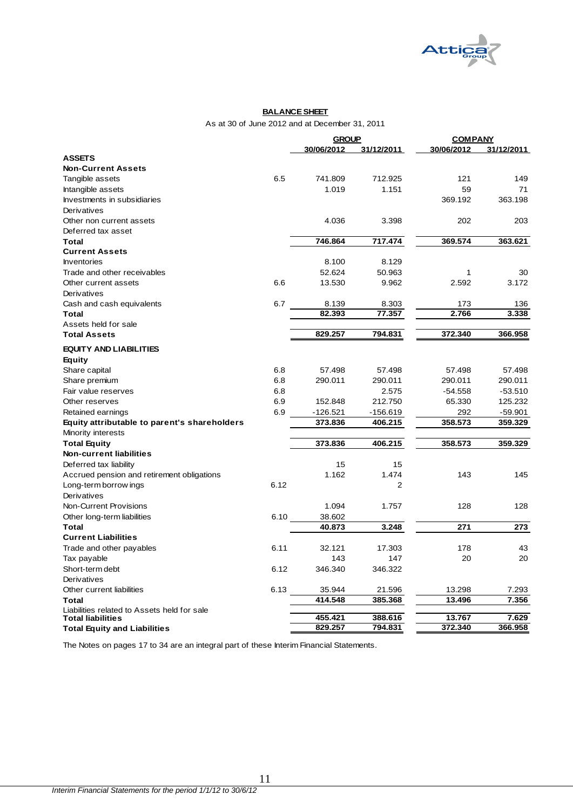

#### **BALANCE SHEET**

As at 30 of June 2012 and at December 31, 2011

|                                                                         |      | <b>GROUP</b> |                | <b>COMPANY</b> |            |
|-------------------------------------------------------------------------|------|--------------|----------------|----------------|------------|
|                                                                         |      | 30/06/2012   | 31/12/2011     | 30/06/2012     | 31/12/2011 |
| <b>ASSETS</b>                                                           |      |              |                |                |            |
| <b>Non-Current Assets</b>                                               |      |              |                |                |            |
| Tangible assets                                                         | 6.5  | 741.809      | 712.925        | 121            | 149        |
| Intangible assets                                                       |      | 1.019        | 1.151          | 59             | 71         |
| Investments in subsidiaries                                             |      |              |                | 369.192        | 363.198    |
| Derivatives                                                             |      |              |                |                |            |
| Other non current assets                                                |      | 4.036        | 3.398          | 202            | 203        |
| Deferred tax asset                                                      |      |              |                |                |            |
| <b>Total</b>                                                            |      | 746.864      | 717.474        | 369.574        | 363.621    |
| <b>Current Assets</b>                                                   |      |              |                |                |            |
| <b>Inventories</b>                                                      |      | 8.100        | 8.129          |                |            |
| Trade and other receivables                                             |      | 52.624       | 50.963         | $\mathbf{1}$   | 30         |
| Other current assets                                                    | 6.6  | 13.530       | 9.962          | 2.592          | 3.172      |
| Derivatives                                                             |      |              |                |                |            |
| Cash and cash equivalents                                               | 6.7  | 8.139        | 8.303          | 173            | 136        |
| <b>Total</b>                                                            |      | 82.393       | 77.357         | 2.766          | 3.338      |
| Assets held for sale                                                    |      |              |                |                |            |
| <b>Total Assets</b>                                                     |      | 829.257      | 794.831        | 372.340        | 366.958    |
| <b>EQUITY AND LIABILITIES</b>                                           |      |              |                |                |            |
| Equity                                                                  |      |              |                |                |            |
| Share capital                                                           | 6.8  | 57.498       | 57.498         | 57.498         | 57.498     |
| Share premium                                                           | 6.8  | 290.011      | 290.011        | 290.011        | 290.011    |
| Fair value reserves                                                     | 6.8  |              | 2.575          | $-54.558$      | $-53.510$  |
| Other reserves                                                          | 6.9  | 152.848      | 212.750        | 65.330         | 125.232    |
| Retained earnings                                                       | 6.9  | $-126.521$   | $-156.619$     | 292            | $-59.901$  |
| Equity attributable to parent's shareholders                            |      | 373.836      | 406.215        | 358.573        | 359.329    |
| Minority interests                                                      |      |              |                |                |            |
| <b>Total Equity</b>                                                     |      | 373.836      | 406.215        | 358.573        | 359.329    |
| <b>Non-current liabilities</b>                                          |      |              |                |                |            |
| Deferred tax liability                                                  |      | 15           | 15             |                |            |
| Accrued pension and retirement obligations                              |      | 1.162        | 1.474          | 143            | 145        |
| Long-term borrow ings                                                   | 6.12 |              | $\overline{2}$ |                |            |
| Derivatives                                                             |      |              |                |                |            |
| Non-Current Provisions                                                  |      | 1.094        | 1.757          | 128            | 128        |
|                                                                         |      | 38.602       |                |                |            |
| Other long-term liabilities<br><b>Total</b>                             | 6.10 | 40.873       | 3.248          | 271            | 273        |
|                                                                         |      |              |                |                |            |
| <b>Current Liabilities</b>                                              |      |              |                |                |            |
| Trade and other payables                                                | 6.11 | 32.121       | 17.303         | 178            | 43         |
| Tax payable                                                             |      | 143          | 147            | 20             | 20         |
| Short-term debt                                                         | 6.12 | 346.340      | 346.322        |                |            |
| Derivatives                                                             |      |              |                |                |            |
| Other current liabilities                                               | 6.13 | 35.944       | 21.596         | 13.298         | 7.293      |
| <b>Total</b>                                                            |      | 414.548      | 385.368        | 13.496         | 7.356      |
| Liabilities related to Assets held for sale<br><b>Total liabilities</b> |      | 455.421      | 388.616        | 13.767         | 7.629      |
| <b>Total Equity and Liabilities</b>                                     |      | 829.257      | 794.831        | 372.340        | 366.958    |
|                                                                         |      |              |                |                |            |

<span id="page-11-0"></span>The Notes on pages 17 to 34 are an integral part of these Interim Financial Statements.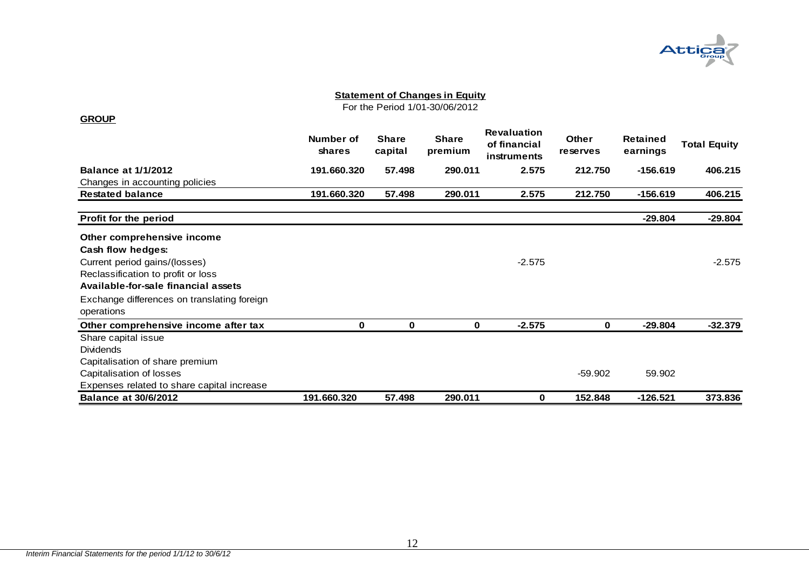

For the Period 1/01-30/06/2012

<span id="page-12-0"></span>

|                                             | Number of<br><b>shares</b> | <b>Share</b><br>capital | <b>Share</b><br>premium | <b>Revaluation</b><br>of financial<br>instruments | <b>Other</b><br>reserves | <b>Retained</b><br>earnings | <b>Total Equity</b> |
|---------------------------------------------|----------------------------|-------------------------|-------------------------|---------------------------------------------------|--------------------------|-----------------------------|---------------------|
| <b>Balance at 1/1/2012</b>                  | 191.660.320                | 57.498                  | 290.011                 | 2.575                                             | 212.750                  | $-156.619$                  | 406.215             |
| Changes in accounting policies              |                            |                         |                         |                                                   |                          |                             |                     |
| <b>Restated balance</b>                     | 191.660.320                | 57.498                  | 290.011                 | 2.575                                             | 212.750                  | $-156.619$                  | 406.215             |
| Profit for the period                       |                            |                         |                         |                                                   |                          | $-29.804$                   | $-29.804$           |
| Other comprehensive income                  |                            |                         |                         |                                                   |                          |                             |                     |
| Cash flow hedges:                           |                            |                         |                         |                                                   |                          |                             |                     |
| Current period gains/(losses)               |                            |                         |                         | $-2.575$                                          |                          |                             | $-2.575$            |
| Reclassification to profit or loss          |                            |                         |                         |                                                   |                          |                             |                     |
| Available-for-sale financial assets         |                            |                         |                         |                                                   |                          |                             |                     |
| Exchange differences on translating foreign |                            |                         |                         |                                                   |                          |                             |                     |
| operations                                  |                            |                         |                         |                                                   |                          |                             |                     |
| Other comprehensive income after tax        | 0                          | 0                       | 0                       | $-2.575$                                          | 0                        | $-29.804$                   | $-32.379$           |
| Share capital issue                         |                            |                         |                         |                                                   |                          |                             |                     |
| <b>Dividends</b>                            |                            |                         |                         |                                                   |                          |                             |                     |
| Capitalisation of share premium             |                            |                         |                         |                                                   |                          |                             |                     |
| Capitalisation of losses                    |                            |                         |                         |                                                   | $-59.902$                | 59.902                      |                     |
| Expenses related to share capital increase  |                            |                         |                         |                                                   |                          |                             |                     |
| <b>Balance at 30/6/2012</b>                 | 191.660.320                | 57.498                  | 290.011                 | 0                                                 | 152.848                  | -126.521                    | 373.836             |

#### **GROUP**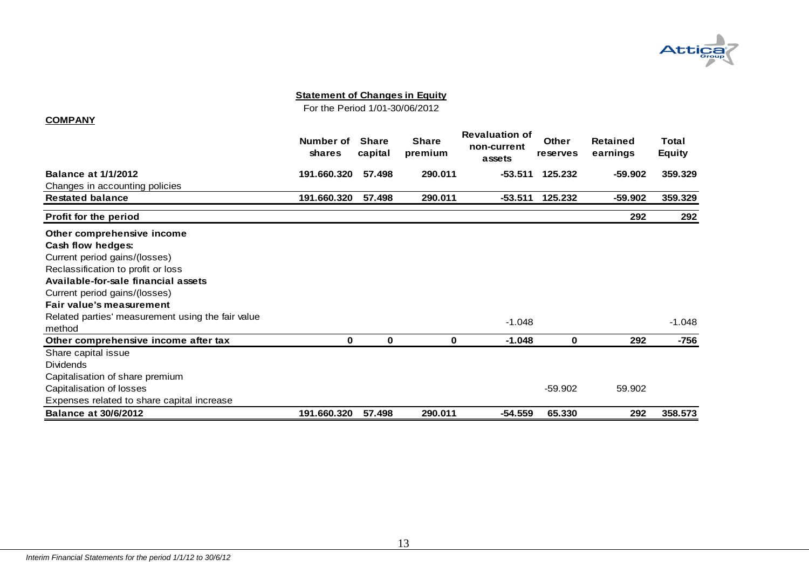

For the Period 1/01-30/06/2012

#### **COMPANY**

<span id="page-13-0"></span>

|                                                   | Number of<br>shares | <b>Share</b><br>capital | <b>Share</b><br>premium | <b>Revaluation of</b><br>non-current<br>assets | <b>Other</b><br>reserves | Retained<br>earnings | Total<br><b>Equity</b> |
|---------------------------------------------------|---------------------|-------------------------|-------------------------|------------------------------------------------|--------------------------|----------------------|------------------------|
| <b>Balance at 1/1/2012</b>                        | 191.660.320         | 57.498                  | 290.011                 | -53.511                                        | 125.232                  | $-59.902$            | 359.329                |
| Changes in accounting policies                    |                     |                         |                         |                                                |                          |                      |                        |
| <b>Restated balance</b>                           | 191.660.320         | 57.498                  | 290.011                 | -53.511                                        | 125.232                  | $-59.902$            | 359.329                |
| <b>Profit for the period</b>                      |                     |                         |                         |                                                |                          | 292                  | 292                    |
| Other comprehensive income                        |                     |                         |                         |                                                |                          |                      |                        |
| Cash flow hedges:                                 |                     |                         |                         |                                                |                          |                      |                        |
| Current period gains/(losses)                     |                     |                         |                         |                                                |                          |                      |                        |
| Reclassification to profit or loss                |                     |                         |                         |                                                |                          |                      |                        |
| Available-for-sale financial assets               |                     |                         |                         |                                                |                          |                      |                        |
| Current period gains/(losses)                     |                     |                         |                         |                                                |                          |                      |                        |
| <b>Fair value's measurement</b>                   |                     |                         |                         |                                                |                          |                      |                        |
| Related parties' measurement using the fair value |                     |                         |                         | $-1.048$                                       |                          |                      | $-1.048$               |
| method                                            |                     |                         |                         |                                                |                          |                      |                        |
| Other comprehensive income after tax              | 0                   | $\bf{0}$                | 0                       | $-1.048$                                       | 0                        | 292                  | -756                   |
| Share capital issue                               |                     |                         |                         |                                                |                          |                      |                        |
| <b>Dividends</b>                                  |                     |                         |                         |                                                |                          |                      |                        |
| Capitalisation of share premium                   |                     |                         |                         |                                                |                          |                      |                        |
| Capitalisation of losses                          |                     |                         |                         |                                                | $-59.902$                | 59.902               |                        |
| Expenses related to share capital increase        |                     |                         |                         |                                                |                          |                      |                        |
| <b>Balance at 30/6/2012</b>                       | 191.660.320         | 57.498                  | 290.011                 | $-54.559$                                      | 65.330                   | 292                  | 358.573                |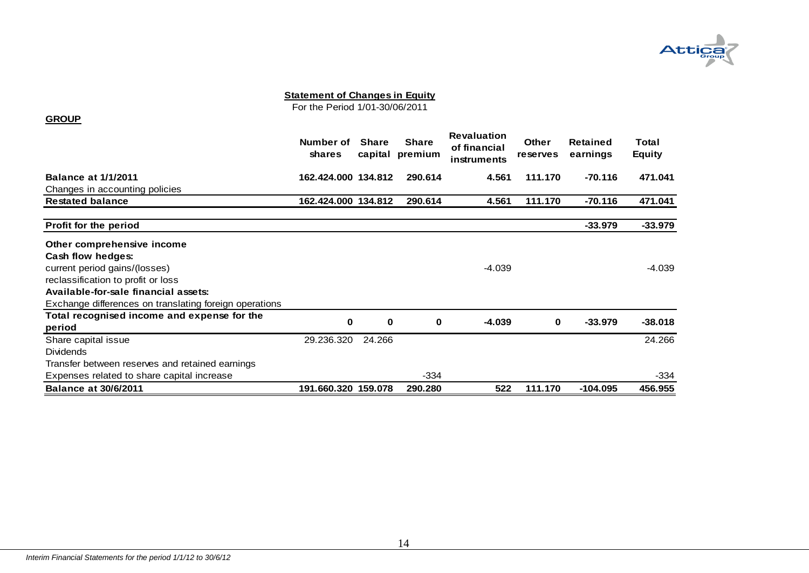

For the Period 1/01-30/06/2011

#### **GROUP**

<span id="page-14-0"></span>

|                                                        | Number of<br>shares | <b>Share</b><br>capital | <b>Share</b><br>premium | <b>Revaluation</b><br>of financial<br>instruments | Other<br>reserves | Retained<br>earnings | Total<br><b>Equity</b> |
|--------------------------------------------------------|---------------------|-------------------------|-------------------------|---------------------------------------------------|-------------------|----------------------|------------------------|
| <b>Balance at 1/1/2011</b>                             | 162.424.000 134.812 |                         | 290.614                 | 4.561                                             | 111.170           | $-70.116$            | 471.041                |
| Changes in accounting policies                         |                     |                         |                         |                                                   |                   |                      |                        |
| <b>Restated balance</b>                                | 162.424.000 134.812 |                         | 290.614                 | 4.561                                             | 111.170           | $-70.116$            | 471.041                |
|                                                        |                     |                         |                         |                                                   |                   |                      |                        |
| <b>Profit for the period</b>                           |                     |                         |                         |                                                   |                   | $-33.979$            | $-33.979$              |
| Other comprehensive income                             |                     |                         |                         |                                                   |                   |                      |                        |
| Cash flow hedges:                                      |                     |                         |                         |                                                   |                   |                      |                        |
| current period gains/(losses)                          |                     |                         |                         | $-4.039$                                          |                   |                      | -4.039                 |
| reclassification to profit or loss                     |                     |                         |                         |                                                   |                   |                      |                        |
| Available-for-sale financial assets:                   |                     |                         |                         |                                                   |                   |                      |                        |
| Exchange differences on translating foreign operations |                     |                         |                         |                                                   |                   |                      |                        |
| Total recognised income and expense for the            | 0                   | 0                       | 0                       | $-4.039$                                          | 0                 | $-33.979$            | $-38.018$              |
| period                                                 |                     |                         |                         |                                                   |                   |                      |                        |
| Share capital issue                                    | 29.236.320          | 24.266                  |                         |                                                   |                   |                      | 24.266                 |
| <b>Dividends</b>                                       |                     |                         |                         |                                                   |                   |                      |                        |
| Transfer between reserves and retained earnings        |                     |                         |                         |                                                   |                   |                      |                        |
| Expenses related to share capital increase             |                     |                         | -334                    |                                                   |                   |                      | -334                   |
| <b>Balance at 30/6/2011</b>                            | 191.660.320 159.078 |                         | 290.280                 | 522                                               | 111.170           | $-104.095$           | 456.955                |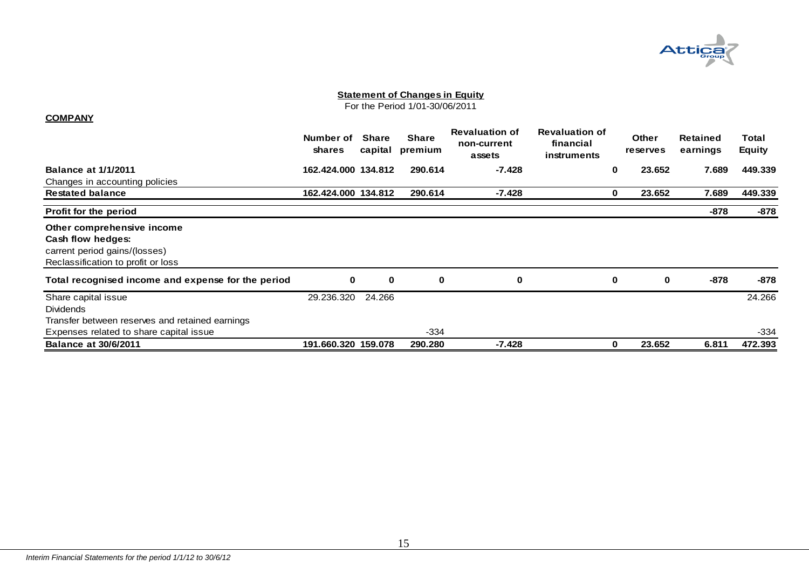

For the Period 1/01-30/06/2011

#### **COMPANY**

<span id="page-15-0"></span>

|                                                                                            | Number of<br>shares | Share<br>capital | <b>Share</b><br>premium | <b>Revaluation of</b><br>non-current<br>assets | <b>Revaluation of</b><br>financial<br>instruments |             | <b>Other</b><br><b>reserves</b> | <b>Retained</b><br>earnings | Total<br><b>Equity</b> |
|--------------------------------------------------------------------------------------------|---------------------|------------------|-------------------------|------------------------------------------------|---------------------------------------------------|-------------|---------------------------------|-----------------------------|------------------------|
| <b>Balance at 1/1/2011</b>                                                                 | 162.424.000 134.812 |                  | 290.614                 | $-7.428$                                       |                                                   | $\mathbf 0$ | 23.652                          | 7.689                       | 449.339                |
| Changes in accounting policies                                                             |                     |                  |                         |                                                |                                                   |             |                                 |                             |                        |
| <b>Restated balance</b>                                                                    | 162.424.000 134.812 |                  | 290.614                 | $-7.428$                                       |                                                   | $\mathbf 0$ | 23.652                          | 7.689                       | 449.339                |
| Profit for the period                                                                      |                     |                  |                         |                                                |                                                   |             |                                 | -878                        | $-878$                 |
| Other comprehensive income<br>Cash flow hedges:<br>carrent period gains/(losses)           |                     |                  |                         |                                                |                                                   |             |                                 |                             |                        |
| Reclassification to profit or loss                                                         |                     |                  |                         |                                                |                                                   |             |                                 |                             |                        |
| Total recognised income and expense for the period                                         | 0                   | 0                | $\mathbf 0$             | 0                                              |                                                   | $\mathbf 0$ | 0                               | -878                        | $-878$                 |
| Share capital issue<br><b>Dividends</b><br>Transfer between reserves and retained earnings | 29.236.320          | 24.266           |                         |                                                |                                                   |             |                                 |                             | 24.266                 |
| Expenses related to share capital issue                                                    |                     |                  | $-334$                  |                                                |                                                   |             |                                 |                             | $-334$                 |
| <b>Balance at 30/6/2011</b>                                                                | 191.660.320 159.078 |                  | 290.280                 | $-7.428$                                       |                                                   | $\mathbf 0$ | 23.652                          | 6.811                       | 472.393                |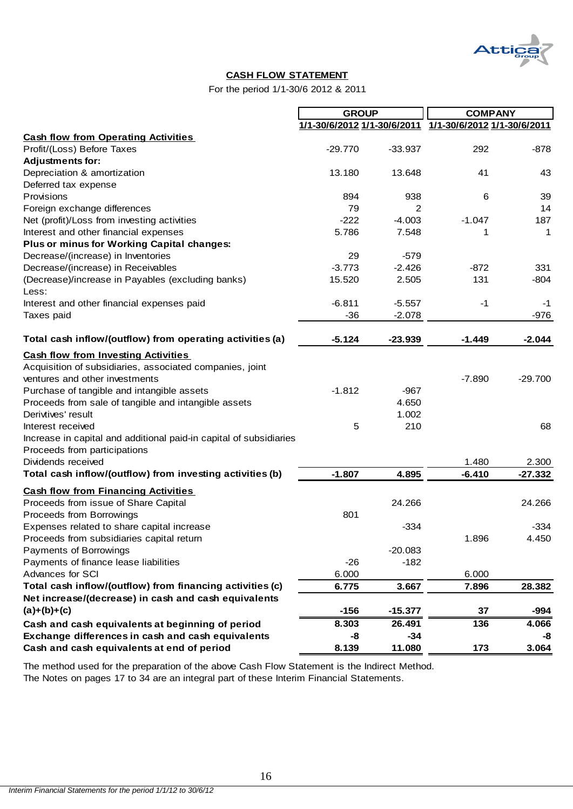

## **CASH FLOW STATEMENT**

For the period 1/1-30/6 2012 & 2011

|                                                                    | <b>GROUP</b> |           | <b>COMPANY</b>                                          |           |
|--------------------------------------------------------------------|--------------|-----------|---------------------------------------------------------|-----------|
|                                                                    |              |           | 1/1-30/6/2012 1/1-30/6/2011 1/1-30/6/2012 1/1-30/6/2011 |           |
| <b>Cash flow from Operating Activities</b>                         |              |           |                                                         |           |
| Profit/(Loss) Before Taxes                                         | $-29.770$    | $-33.937$ | 292                                                     | $-878$    |
| <b>Adjustments for:</b>                                            |              |           |                                                         |           |
| Depreciation & amortization                                        | 13.180       | 13.648    | 41                                                      | 43        |
| Deferred tax expense                                               |              |           |                                                         |           |
| Provisions                                                         | 894          | 938       | 6                                                       | 39        |
| Foreign exchange differences                                       | 79           | 2         |                                                         | 14        |
| Net (profit)/Loss from investing activities                        | $-222$       | $-4.003$  | $-1.047$                                                | 187       |
| Interest and other financial expenses                              | 5.786        | 7.548     | 1                                                       | 1         |
| Plus or minus for Working Capital changes:                         |              |           |                                                         |           |
| Decrease/(increase) in Inventories                                 | 29           | $-579$    |                                                         |           |
| Decrease/(increase) in Receivables                                 | $-3.773$     | $-2.426$  | $-872$                                                  | 331       |
| (Decrease)/increase in Payables (excluding banks)                  | 15.520       | 2.505     | 131                                                     | $-804$    |
| Less:                                                              |              |           |                                                         |           |
| Interest and other financial expenses paid                         | $-6.811$     | $-5.557$  | -1                                                      | -1        |
| Taxes paid                                                         | $-36$        | $-2.078$  |                                                         | $-976$    |
|                                                                    |              |           |                                                         |           |
| Total cash inflow/(outflow) from operating activities (a)          | $-5.124$     | $-23.939$ | $-1.449$                                                | $-2.044$  |
| <b>Cash flow from Investing Activities</b>                         |              |           |                                                         |           |
| Acquisition of subsidiaries, associated companies, joint           |              |           |                                                         |           |
| ventures and other investments                                     |              |           | $-7.890$                                                | $-29.700$ |
| Purchase of tangible and intangible assets                         | $-1.812$     | $-967$    |                                                         |           |
| Proceeds from sale of tangible and intangible assets               |              | 4.650     |                                                         |           |
| Derivtives' result                                                 |              | 1.002     |                                                         |           |
| Interest received                                                  | 5            | 210       |                                                         | 68        |
| Increase in capital and additional paid-in capital of subsidiaries |              |           |                                                         |           |
| Proceeds from participations                                       |              |           |                                                         |           |
| Dividends received                                                 |              |           | 1.480                                                   | 2.300     |
| Total cash inflow/(outflow) from investing activities (b)          | $-1.807$     | 4.895     | $-6.410$                                                | $-27.332$ |
| <b>Cash flow from Financing Activities</b>                         |              |           |                                                         |           |
| Proceeds from issue of Share Capital                               |              | 24.266    |                                                         | 24.266    |
| Proceeds from Borrowings                                           | 801          |           |                                                         |           |
| Expenses related to share capital increase                         |              | $-334$    |                                                         | $-334$    |
| Proceeds from subsidiaries capital return                          |              |           | 1.896                                                   | 4.450     |
| Payments of Borrowings                                             |              | $-20.083$ |                                                         |           |
| Payments of finance lease liabilities                              | $-26$        | $-182$    |                                                         |           |
| Advances for SCI                                                   | 6.000        |           | 6.000                                                   |           |
| Total cash inflow/(outflow) from financing activities (c)          | 6.775        | 3.667     | 7.896                                                   | 28.382    |
| Net increase/(decrease) in cash and cash equivalents               |              |           |                                                         |           |
| $(a)+(b)+(c)$                                                      | $-156$       | $-15.377$ | 37                                                      | $-994$    |
| Cash and cash equivalents at beginning of period                   | 8.303        | 26.491    | 136                                                     | 4.066     |
| Exchange differences in cash and cash equivalents                  | -8           | $-34$     |                                                         | -8        |
| Cash and cash equivalents at end of period                         | 8.139        | 11.080    | 173                                                     | 3.064     |

<span id="page-16-0"></span>The Notes on pages 17 to 34 are an integral part of these Interim Financial Statements. The method used for the preparation of the above Cash Flow Statement is the Indirect Method.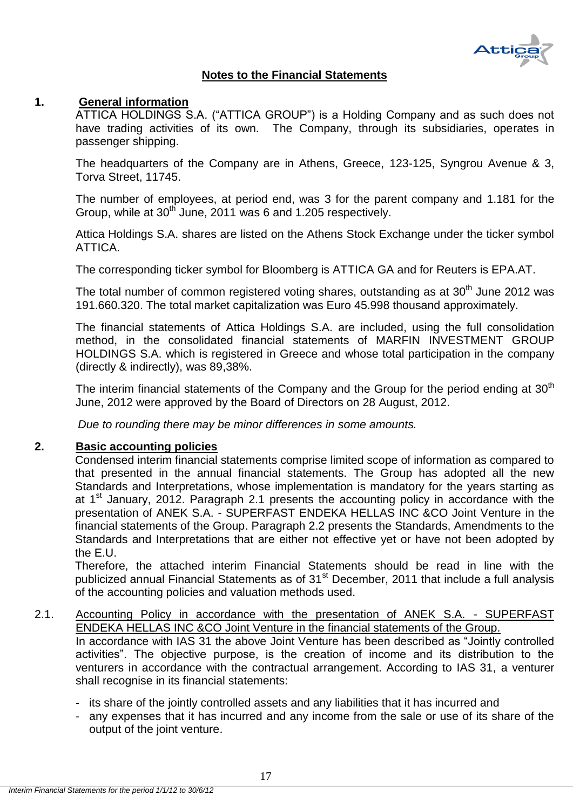

## **Notes to the Financial Statements**

## <span id="page-17-1"></span><span id="page-17-0"></span>**1. General information**

ATTICA HOLDINGS S.A. ("ATTICA GROUP") is a Holding Company and as such does not have trading activities of its own. The Company, through its subsidiaries, operates in passenger shipping.

The headquarters of the Company are in Athens, Greece, 123-125, Syngrou Avenue & 3, Torva Street, 11745.

The number of employees, at period end, was 3 for the parent company and 1.181 for the Group, while at 30<sup>th</sup> June, 2011 was 6 and 1.205 respectively.

Attica Holdings S.A. shares are listed on the Athens Stock Exchange under the ticker symbol ATTICA.

The corresponding ticker symbol for Bloomberg is ATTICA GA and for Reuters is EPA.AT.

The total number of common registered voting shares, outstanding as at  $30<sup>th</sup>$  June 2012 was 191.660.320. The total market capitalization was Euro 45.998 thousand approximately.

The financial statements of Attica Holdings S.A. are included, using the full consolidation method, in the consolidated financial statements of MARFIN INVESTMENT GROUP HOLDINGS S.A. which is registered in Greece and whose total participation in the company (directly & indirectly), was 89,38%.

The interim financial statements of the Company and the Group for the period ending at  $30<sup>th</sup>$ June, 2012 were approved by the Board of Directors on 28 August, 2012.

*Due to rounding there may be minor differences in some amounts.*

## <span id="page-17-2"></span>**2. Basic accounting policies**

Condensed interim financial statements comprise limited scope of information as compared to that presented in the annual financial statements. The Group has adopted all the new Standards and Interpretations, whose implementation is mandatory for the years starting as at 1<sup>st</sup> January, 2012. Paragraph 2.1 presents the accounting policy in accordance with the presentation of ANEK S.A. - SUPERFAST ENDEKA HELLAS INC &CO Joint Venture in the financial statements of the Group. Paragraph 2.2 presents the Standards, Amendments to the Standards and Interpretations that are either not effective yet or have not been adopted by the E.U.

Therefore, the attached interim Financial Statements should be read in line with the publicized annual Financial Statements as of 31<sup>st</sup> December, 2011 that include a full analysis of the accounting policies and valuation methods used.

## <span id="page-17-3"></span>2.1. Accounting Policy in accordance with the presentation of ANEK S.A. - SUPERFAST ENDEKA HELLAS INC &CO Joint Venture in the financial statements of the Group.

In accordance with IAS 31 the above Joint Venture has been described as "Jointly controlled activities‖. The objective purpose, is the creation of income and its distribution to the venturers in accordance with the contractual arrangement. According to IAS 31, a venturer shall recognise in its financial statements:

- its share of the jointly controlled assets and any liabilities that it has incurred and
- any expenses that it has incurred and any income from the sale or use of its share of the output of the joint venture.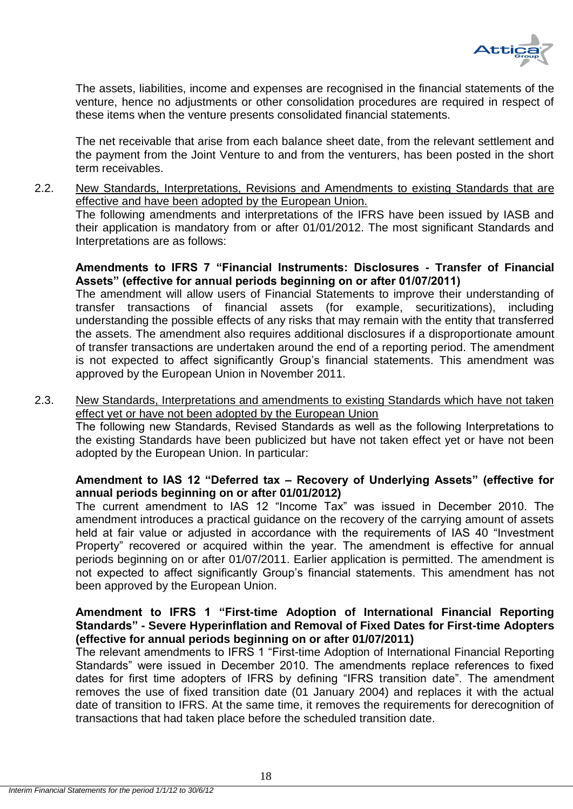

The assets, liabilities, income and expenses are recognised in the financial statements of the venture, hence no adjustments or other consolidation procedures are required in respect of these items when the venture presents consolidated financial statements.

The net receivable that arise from each balance sheet date, from the relevant settlement and the payment from the Joint Venture to and from the venturers, has been posted in the short term receivables.

<span id="page-18-0"></span>2.2. New Standards, Interpretations, Revisions and Amendments to existing Standards that are effective and have been adopted by the European Union. The following amendments and interpretations of the IFRS have been issued by IASB and their application is mandatory from or after 01/01/2012. The most significant Standards and Interpretations are as follows:

## **Amendments to IFRS 7 "Financial Instruments: Disclosures - Transfer of Financial Assets" (effective for annual periods beginning on or after 01/07/2011)**

The amendment will allow users of Financial Statements to improve their understanding of transfer transactions of financial assets (for example, securitizations), including understanding the possible effects of any risks that may remain with the entity that transferred the assets. The amendment also requires additional disclosures if a disproportionate amount of transfer transactions are undertaken around the end of a reporting period. The amendment is not expected to affect significantly Group's financial statements. This amendment was approved by the European Union in November 2011.

<span id="page-18-1"></span>2.3. New Standards, Interpretations and amendments to existing Standards which have not taken effect yet or have not been adopted by the European Union

Τhe following new Standards, Revised Standards as well as the following Interpretations to the existing Standards have been publicized but have not taken effect yet or have not been adopted by the European Union. In particular:

## **Amendment to IAS 12 "Deferred tax – Recovery of Underlying Assets" (effective for annual periods beginning on or after 01/01/2012)**

The current amendment to IAS 12 "Income Tax" was issued in December 2010. The amendment introduces a practical guidance on the recovery of the carrying amount of assets held at fair value or adjusted in accordance with the requirements of IAS 40 "Investment Property" recovered or acquired within the year. The amendment is effective for annual periods beginning on or after 01/07/2011. Earlier application is permitted. The amendment is not expected to affect significantly Group's financial statements. This amendment has not been approved by the European Union.

## **Amendment to IFRS 1 "First-time Adoption of International Financial Reporting Standards" - Severe Hyperinflation and Removal of Fixed Dates for First-time Adopters (effective for annual periods beginning on or after 01/07/2011)**

The relevant amendments to IFRS 1 "First-time Adoption of International Financial Reporting Standards" were issued in December 2010. The amendments replace references to fixed dates for first time adopters of IFRS by defining "IFRS transition date". The amendment removes the use of fixed transition date (01 January 2004) and replaces it with the actual date of transition to IFRS. At the same time, it removes the requirements for derecognition of transactions that had taken place before the scheduled transition date.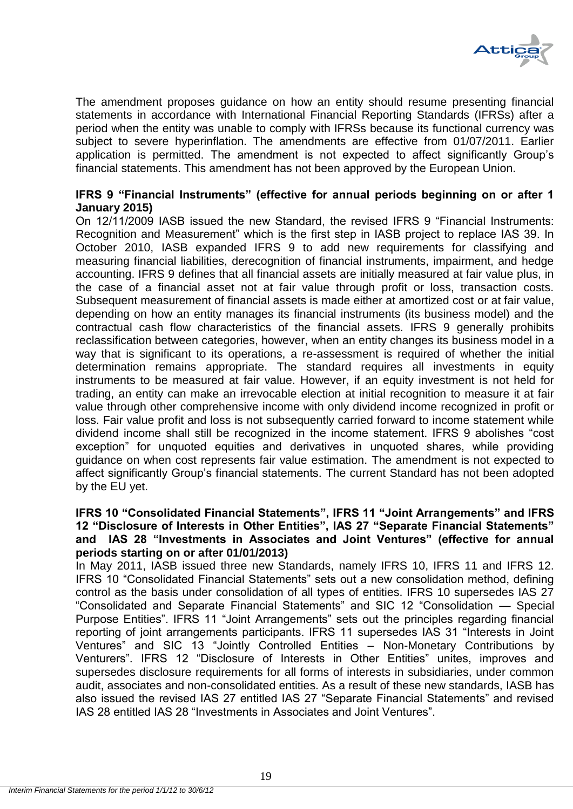

The amendment proposes guidance on how an entity should resume presenting financial statements in accordance with International Financial Reporting Standards (IFRSs) after a period when the entity was unable to comply with IFRSs because its functional currency was subject to severe hyperinflation. The amendments are effective from 01/07/2011. Earlier application is permitted. The amendment is not expected to affect significantly Group's financial statements. This amendment has not been approved by the European Union.

## **IFRS 9 "Financial Instruments" (effective for annual periods beginning on or after 1 January 2015)**

On 12/11/2009 IASB issued the new Standard, the revised IFRS 9 "Financial Instruments: Recognition and Measurement" which is the first step in IASB project to replace IAS 39. In October 2010, IASB expanded IFRS 9 to add new requirements for classifying and measuring financial liabilities, derecognition of financial instruments, impairment, and hedge accounting. IFRS 9 defines that all financial assets are initially measured at fair value plus, in the case of a financial asset not at fair value through profit or loss, transaction costs. Subsequent measurement of financial assets is made either at amortized cost or at fair value, depending on how an entity manages its financial instruments (its business model) and the contractual cash flow characteristics of the financial assets. IFRS 9 generally prohibits reclassification between categories, however, when an entity changes its business model in a way that is significant to its operations, a re-assessment is required of whether the initial determination remains appropriate. The standard requires all investments in equity instruments to be measured at fair value. However, if an equity investment is not held for trading, an entity can make an irrevocable election at initial recognition to measure it at fair value through other comprehensive income with only dividend income recognized in profit or loss. Fair value profit and loss is not subsequently carried forward to income statement while dividend income shall still be recognized in the income statement. IFRS 9 abolishes "cost exception" for unquoted equities and derivatives in unquoted shares, while providing guidance on when cost represents fair value estimation. The amendment is not expected to affect significantly Group's financial statements. The current Standard has not been adopted by the EU yet.

## **IFRS 10 "Consolidated Financial Statements", IFRS 11 "Joint Arrangements" and IFRS 12 "Disclosure of Interests in Other Entities", IAS 27 "Separate Financial Statements" and IAS 28 "Investments in Associates and Joint Ventures" (effective for annual periods starting on or after 01/01/2013)**

In May 2011, IASB issued three new Standards, namely IFRS 10, IFRS 11 and IFRS 12. IFRS 10 "Consolidated Financial Statements" sets out a new consolidation method, defining control as the basis under consolidation of all types of entities. IFRS 10 supersedes IAS 27 "Consolidated and Separate Financial Statements" and SIC 12 "Consolidation - Special Purpose Entities". IFRS 11 "Joint Arrangements" sets out the principles regarding financial reporting of joint arrangements participants. IFRS 11 supersedes IAS 31 "Interests in Joint Ventures" and SIC 13 "Jointly Controlled Entities – Non-Monetary Contributions by Venturers". IFRS 12 "Disclosure of Interests in Other Entities" unites, improves and supersedes disclosure requirements for all forms of interests in subsidiaries, under common audit, associates and non-consolidated entities. As a result of these new standards, IASB has also issued the revised IAS 27 entitled IAS 27 "Separate Financial Statements" and revised IAS 28 entitled IAS 28 "Investments in Associates and Joint Ventures".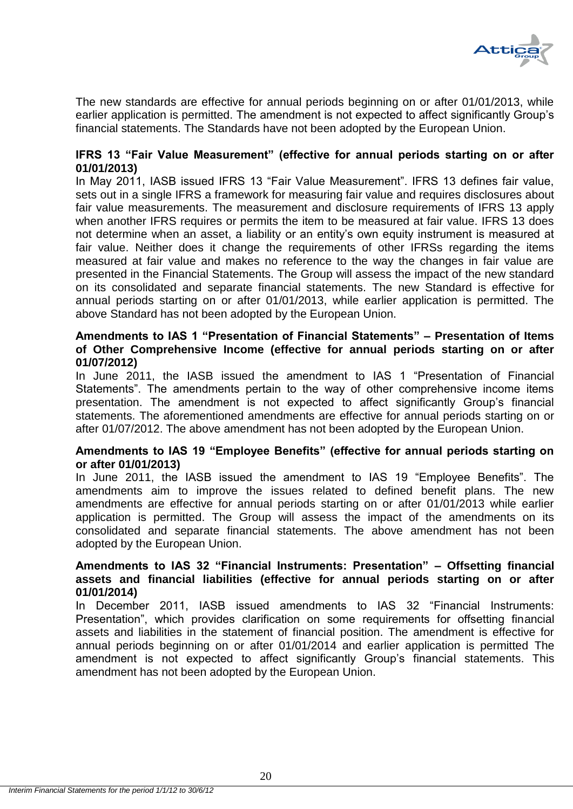

The new standards are effective for annual periods beginning on or after 01/01/2013, while earlier application is permitted. The amendment is not expected to affect significantly Group's financial statements. The Standards have not been adopted by the European Union.

## **IFRS 13 "Fair Value Measurement" (effective for annual periods starting on or after 01/01/2013)**

In May 2011, IASB issued IFRS 13 "Fair Value Measurement". IFRS 13 defines fair value, sets out in a single IFRS a framework for measuring fair value and requires disclosures about fair value measurements. The measurement and disclosure requirements of IFRS 13 apply when another IFRS requires or permits the item to be measured at fair value. IFRS 13 does not determine when an asset, a liability or an entity's own equity instrument is measured at fair value. Neither does it change the requirements of other IFRSs regarding the items measured at fair value and makes no reference to the way the changes in fair value are presented in the Financial Statements. The Group will assess the impact of the new standard on its consolidated and separate financial statements. The new Standard is effective for annual periods starting on or after 01/01/2013, while earlier application is permitted. The above Standard has not been adopted by the European Union.

## **Amendments to IAS 1 "Presentation of Financial Statements" – Presentation of Items of Other Comprehensive Income (effective for annual periods starting on or after 01/07/2012)**

In June 2011, the IASB issued the amendment to IAS 1 "Presentation of Financial Statements". The amendments pertain to the way of other comprehensive income items presentation. The amendment is not expected to affect significantly Group's financial statements. The aforementioned amendments are effective for annual periods starting on or after 01/07/2012. The above amendment has not been adopted by the European Union.

## **Amendments to IAS 19 "Employee Benefits" (effective for annual periods starting on or after 01/01/2013)**

In June 2011, the IASB issued the amendment to IAS 19 "Employee Benefits". The amendments aim to improve the issues related to defined benefit plans. The new amendments are effective for annual periods starting on or after 01/01/2013 while earlier application is permitted. The Group will assess the impact of the amendments on its consolidated and separate financial statements. The above amendment has not been adopted by the European Union.

## **Amendments to IAS 32 "Financial Instruments: Presentation" – Offsetting financial assets and financial liabilities (effective for annual periods starting on or after 01/01/2014)**

In December 2011, IASB issued amendments to IAS 32 "Financial Instruments: Presentation", which provides clarification on some requirements for offsetting financial assets and liabilities in the statement of financial position. The amendment is effective for annual periods beginning on or after 01/01/2014 and earlier application is permitted The amendment is not expected to affect significantly Group's financial statements. This amendment has not been adopted by the European Union.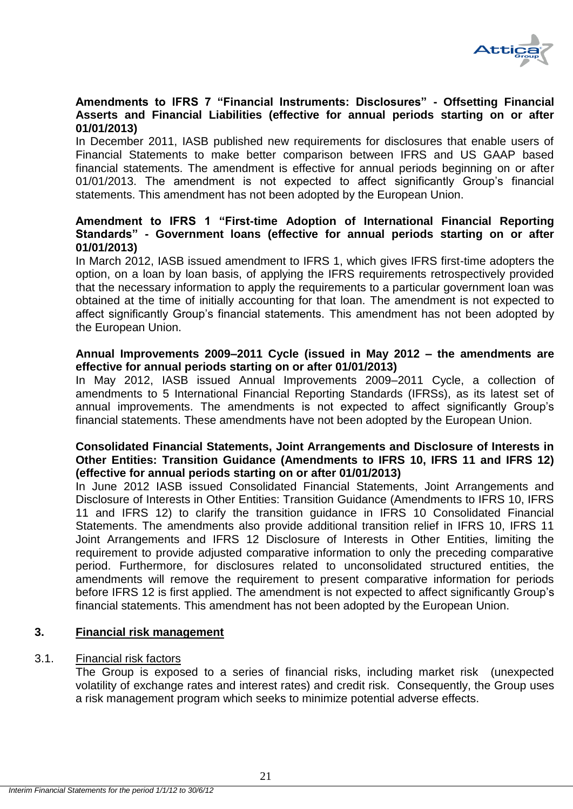

## **Amendments to IFRS 7 "Financial Instruments: Disclosures" - Offsetting Financial Asserts and Financial Liabilities (effective for annual periods starting on or after 01/01/2013)**

In December 2011, IASB published new requirements for disclosures that enable users of Financial Statements to make better comparison between IFRS and US GAAP based financial statements. The amendment is effective for annual periods beginning on or after 01/01/2013. The amendment is not expected to affect significantly Group's financial statements. This amendment has not been adopted by the European Union.

## **Amendment to IFRS 1 "First-time Adoption of International Financial Reporting Standards" - Government loans (effective for annual periods starting on or after 01/01/2013)**

In March 2012, IASB issued amendment to IFRS 1, which gives IFRS first-time adopters the option, on a loan by loan basis, of applying the IFRS requirements retrospectively provided that the necessary information to apply the requirements to a particular government loan was obtained at the time of initially accounting for that loan. The amendment is not expected to affect significantly Group's financial statements. This amendment has not been adopted by the European Union.

## **Annual Improvements 2009–2011 Cycle (issued in May 2012 – the amendments are effective for annual periods starting on or after 01/01/2013)**

In May 2012, IASB issued Annual Improvements 2009–2011 Cycle, a collection of amendments to 5 International Financial Reporting Standards (IFRSs), as its latest set of annual improvements. The amendments is not expected to affect significantly Group's financial statements. These amendments have not been adopted by the European Union.

## **Consolidated Financial Statements, Joint Arrangements and Disclosure of Interests in Other Entities: Transition Guidance (Amendments to IFRS 10, IFRS 11 and IFRS 12) (effective for annual periods starting on or after 01/01/2013)**

In June 2012 IASB issued Consolidated Financial Statements, Joint Arrangements and Disclosure of Interests in Other Entities: Transition Guidance (Amendments to IFRS 10, IFRS 11 and IFRS 12) to clarify the transition guidance in IFRS 10 Consolidated Financial Statements. The amendments also provide additional transition relief in IFRS 10, IFRS 11 Joint Arrangements and IFRS 12 Disclosure of Interests in Other Entities, limiting the requirement to provide adjusted comparative information to only the preceding comparative period. Furthermore, for disclosures related to unconsolidated structured entities, the amendments will remove the requirement to present comparative information for periods before IFRS 12 is first applied. The amendment is not expected to affect significantly Group's financial statements. This amendment has not been adopted by the European Union.

## <span id="page-21-0"></span>**3. Financial risk management**

## <span id="page-21-1"></span>3.1. Financial risk factors

The Group is exposed to a series of financial risks, including market risk (unexpected volatility of exchange rates and interest rates) and credit risk. Consequently, the Group uses a risk management program which seeks to minimize potential adverse effects.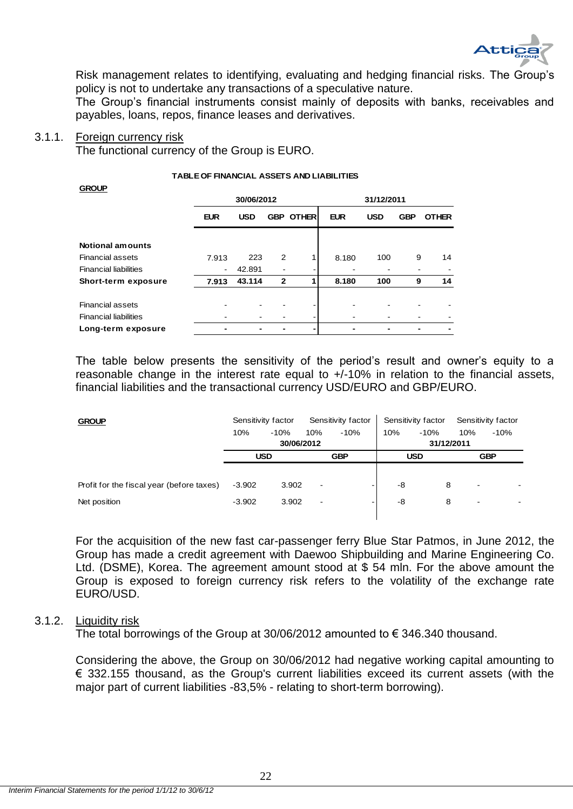

Risk management relates to identifying, evaluating and hedging financial risks. The Group's policy is not to undertake any transactions of a speculative nature.

The Group's financial instruments consist mainly of deposits with banks, receivables and payables, loans, repos, finance leases and derivatives.

#### <span id="page-22-0"></span>3.1.1. Foreign currency risk

The functional currency of the Group is EURO.

| <b>GROUP</b>                 |                |            |              |                  |            |            |            |              |
|------------------------------|----------------|------------|--------------|------------------|------------|------------|------------|--------------|
|                              |                | 30/06/2012 |              |                  |            | 31/12/2011 |            |              |
|                              | <b>EUR</b>     | <b>USD</b> |              | <b>GBP OTHER</b> | <b>EUR</b> | <b>USD</b> | <b>GBP</b> | <b>OTHER</b> |
| Notional amounts             |                |            |              |                  |            |            |            |              |
| <b>Financial assets</b>      | 7.913          | 223        | 2            | 1                | 8.180      | 100        | 9          | 14           |
| <b>Financial liabilities</b> | $\blacksquare$ | 42.891     |              |                  |            |            |            |              |
| Short-term exposure          | 7.913          | 43.114     | $\mathbf{2}$ |                  | 8.180      | 100        | 9          | 14           |
|                              |                |            |              |                  |            |            |            |              |
| <b>Financial assets</b>      |                |            |              |                  |            |            |            |              |
| <b>Financial liabilities</b> |                |            |              |                  | -          |            |            |              |
| Long-term exposure           |                |            |              |                  |            |            |            |              |

#### **TABLE OF FINANCIAL ASSETS AND LIABILITIES**

The table below presents the sensitivity of the period's result and owner's equity to a reasonable change in the interest rate equal to +/-10% in relation to the financial assets, financial liabilities and the transactional currency USD/EURO and GBP/EURO.

| <b>GROUP</b>                              |          | Sensitivity factor | Sensitivity factor       |            | Sensitivity factor |            | Sensitivity factor       |            |
|-------------------------------------------|----------|--------------------|--------------------------|------------|--------------------|------------|--------------------------|------------|
|                                           | 10%      | $-10%$             | 10%                      | $-10%$     | 10%                | $-10%$     | 10%                      | $-10%$     |
|                                           |          |                    | 30/06/2012               |            | 31/12/2011         |            |                          |            |
|                                           |          | <b>USD</b>         |                          | <b>GBP</b> |                    | <b>USD</b> |                          | <b>GBP</b> |
|                                           |          |                    |                          |            |                    |            |                          |            |
| Profit for the fiscal year (before taxes) | $-3.902$ | 3.902              | $\overline{\phantom{a}}$ |            | -8                 | 8          | ۰                        |            |
| Net position                              | $-3.902$ | 3.902              | $\overline{\phantom{a}}$ | -          | -8                 | 8          | $\overline{\phantom{a}}$ |            |
|                                           |          |                    |                          |            |                    |            |                          |            |

For the acquisition of the new fast car-passenger ferry Blue Star Patmos, in June 2012, the Group has made a credit agreement with Daewoo Shipbuilding and Marine Engineering Co. Ltd. (DSME), Korea. The agreement amount stood at \$ 54 mln. For the above amount the Group is exposed to foreign currency risk refers to the volatility of the exchange rate EURO/USD.

### <span id="page-22-1"></span>3.1.2. Liquidity risk

The total borrowings of the Group at 30/06/2012 amounted to € 346.340 thousand.

Considering the above, the Group on 30/06/2012 had negative working capital amounting to € 332.155 thousand, as the Group's current liabilities exceed its current assets (with the major part of current liabilities -83,5% - relating to short-term borrowing).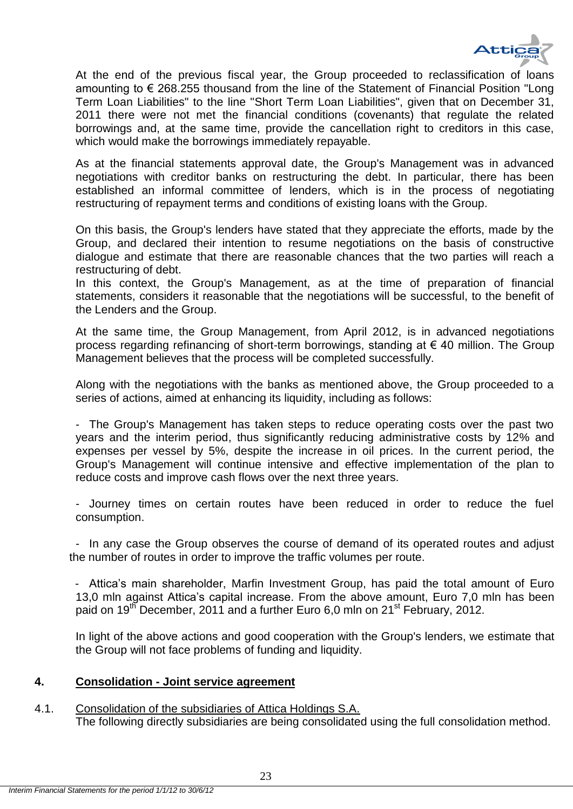

At the end of the previous fiscal year, the Group proceeded to reclassification of loans amounting to € 268.255 thousand from the line of the Statement of Financial Position "Long Term Loan Liabilities" to the line "Short Term Loan Liabilities", given that on December 31, 2011 there were not met the financial conditions (covenants) that regulate the related borrowings and, at the same time, provide the cancellation right to creditors in this case, which would make the borrowings immediately repayable.

As at the financial statements approval date, the Group's Management was in advanced negotiations with creditor banks on restructuring the debt. In particular, there has been established an informal committee of lenders, which is in the process of negotiating restructuring of repayment terms and conditions of existing loans with the Group.

On this basis, the Group's lenders have stated that they appreciate the efforts, made by the Group, and declared their intention to resume negotiations on the basis of constructive dialogue and estimate that there are reasonable chances that the two parties will reach a restructuring of debt.

In this context, the Group's Management, as at the time of preparation of financial statements, considers it reasonable that the negotiations will be successful, to the benefit of the Lenders and the Group.

At the same time, the Group Management, from April 2012, is in advanced negotiations process regarding refinancing of short-term borrowings, standing at € 40 million. The Group Management believes that the process will be completed successfully.

Along with the negotiations with the banks as mentioned above, the Group proceeded to a series of actions, aimed at enhancing its liquidity, including as follows:

- The Group's Management has taken steps to reduce operating costs over the past two years and the interim period, thus significantly reducing administrative costs by 12% and expenses per vessel by 5%, despite the increase in oil prices. In the current period, the Group's Management will continue intensive and effective implementation of the plan to reduce costs and improve cash flows over the next three years.

- Journey times on certain routes have been reduced in order to reduce the fuel consumption.

- In any case the Group observes the course of demand of its operated routes and adjust the number of routes in order to improve the traffic volumes per route.

- Attica's main shareholder, Marfin Investment Group, has paid the total amount of Euro 13,0 mln against Attica's capital increase. From the above amount, Euro 7,0 mln has been paid on 19<sup>th</sup> December, 2011 and a further Euro 6,0 mln on 21<sup>st</sup> February, 2012.

In light of the above actions and good cooperation with the Group's lenders, we estimate that the Group will not face problems of funding and liquidity.

## <span id="page-23-0"></span>**4. Consolidation - Joint service agreement**

## 4.1. Consolidation of the subsidiaries of Attica Holdings S.A.

The following directly subsidiaries are being consolidated using the full consolidation method.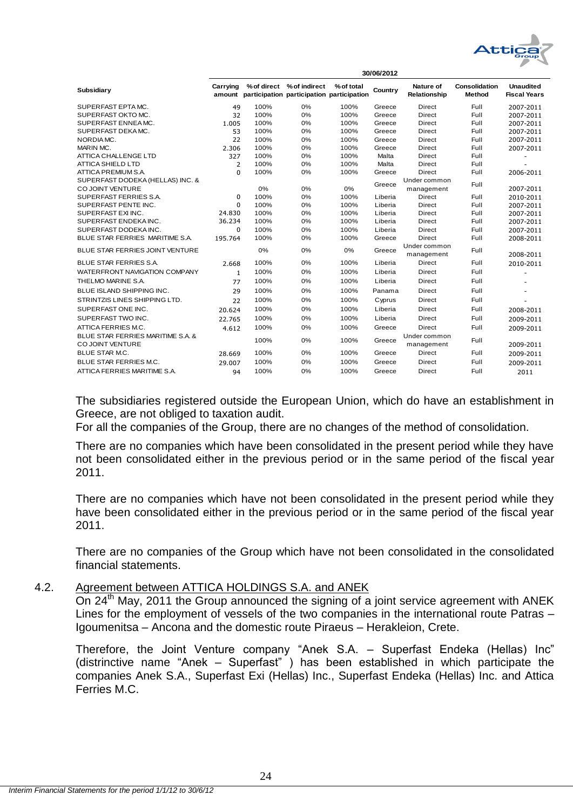

|                                                       |                |      |                                                                               |            | 30/06/2012 |                            |                                |                                         |
|-------------------------------------------------------|----------------|------|-------------------------------------------------------------------------------|------------|------------|----------------------------|--------------------------------|-----------------------------------------|
| Subsidiary                                            | Carrying       |      | % of direct % of indirect<br>amount participation participation participation | % of total | Country    | Nature of<br>Relationship  | <b>Consolidation</b><br>Method | <b>Unaudited</b><br><b>Fiscal Years</b> |
| SUPERFAST EPTA MC.                                    | 49             | 100% | 0%                                                                            | 100%       | Greece     | Direct                     | Full                           | 2007-2011                               |
| SUPERFAST OKTO MC.                                    | 32             | 100% | 0%                                                                            | 100%       | Greece     | Direct                     | Full                           | 2007-2011                               |
| SUPERFAST ENNEA MC.                                   | 1.005          | 100% | 0%                                                                            | 100%       | Greece     | Direct                     | Full                           | 2007-2011                               |
| SUPERFAST DEKAMC.                                     | 53             | 100% | 0%                                                                            | 100%       | Greece     | Direct                     | Full                           | 2007-2011                               |
| NORDIA MC.                                            | 22             | 100% | 0%                                                                            | 100%       | Greece     | Direct                     | Full                           | 2007-2011                               |
| MARIN MC.                                             | 2.306          | 100% | 0%                                                                            | 100%       | Greece     | Direct                     | Full                           | 2007-2011                               |
| ATTICA CHALLENGE LTD                                  | 327            | 100% | 0%                                                                            | 100%       | Malta      | Direct                     | Full                           |                                         |
| <b>ATTICA SHIELD LTD</b>                              | $\overline{2}$ | 100% | 0%                                                                            | 100%       | Malta      | Direct                     | Full                           |                                         |
| ATTICA PREMIUM S.A.                                   | $\Omega$       | 100% | 0%                                                                            | 100%       | Greece     | Direct                     | Full                           | 2006-2011                               |
| SUPERFAST DODEKA (HELLAS) INC. &<br>CO JOINT VENTURE  |                | 0%   | 0%                                                                            | 0%         | Greece     | Under common<br>management | Full                           | 2007-2011                               |
| SUPERFAST FERRIES S.A.                                | $\Omega$       | 100% | 0%                                                                            | 100%       | Liberia    | Direct                     | Full                           | 2010-2011                               |
| SUPERFAST PENTE INC.                                  | $\Omega$       | 100% | 0%                                                                            | 100%       | Liberia    | <b>Direct</b>              | Full                           | 2007-2011                               |
| SUPERFAST EXI INC.                                    | 24.830         | 100% | 0%                                                                            | 100%       | Liberia    | Direct                     | Full                           | 2007-2011                               |
| SUPERFAST ENDEKAINC.                                  | 36.234         | 100% | 0%                                                                            | 100%       | Liberia    | <b>Direct</b>              | Full                           | 2007-2011                               |
| SUPERFAST DODEKA INC.                                 | $\Omega$       | 100% | 0%                                                                            | 100%       | Liberia    | Direct                     | Full                           | 2007-2011                               |
| BLUE STAR FERRIES MARITIME S.A.                       | 195.764        | 100% | 0%                                                                            | 100%       | Greece     | Direct                     | Full                           | 2008-2011                               |
| BLUE STAR FERRIES JOINT VENTURE                       |                | 0%   | 0%                                                                            | 0%         | Greece     | Under common<br>management | Full                           | 2008-2011                               |
| <b>BLUE STAR FERRIES S.A.</b>                         | 2.668          | 100% | 0%                                                                            | 100%       | Liberia    | Direct                     | Full                           | 2010-2011                               |
| WATERFRONT NAVIGATION COMPANY                         | 1              | 100% | 0%                                                                            | 100%       | Liberia    | Direct                     | Full                           |                                         |
| THELMO MARINE S.A.                                    | 77             | 100% | 0%                                                                            | 100%       | Liberia    | Direct                     | Full                           |                                         |
| BLUE ISLAND SHIPPING INC.                             | 29             | 100% | 0%                                                                            | 100%       | Panama     | <b>Direct</b>              | <b>Full</b>                    |                                         |
| STRINTZIS LINES SHIPPING LTD.                         | 22             | 100% | 0%                                                                            | 100%       | Cyprus     | Direct                     | Full                           |                                         |
| SUPERFAST ONE INC.                                    | 20.624         | 100% | 0%                                                                            | 100%       | Liberia    | <b>Direct</b>              | Full                           | 2008-2011                               |
| SUPERFAST TWO INC.                                    | 22.765         | 100% | 0%                                                                            | 100%       | Liberia    | Direct                     | Full                           | 2009-2011                               |
| ATTICA FERRIES M.C.                                   | 4.612          | 100% | 0%                                                                            | 100%       | Greece     | Direct                     | Full                           | 2009-2011                               |
| BLUE STAR FERRIES MARITIME S.A. &<br>CO JOINT VENTURE |                | 100% | 0%                                                                            | 100%       | Greece     | Under common<br>management | Full                           | 2009-2011                               |
| <b>BLUE STAR M.C.</b>                                 | 28.669         | 100% | 0%                                                                            | 100%       | Greece     | Direct                     | Full                           | 2009-2011                               |
| BLUE STAR FERRIES M.C.                                | 29.007         | 100% | 0%                                                                            | 100%       | Greece     | <b>Direct</b>              | Full                           | 2009-2011                               |
| ATTICA FERRIES MARITIME S.A.                          | 94             | 100% | 0%                                                                            | 100%       | Greece     | Direct                     | Full                           | 2011                                    |

The subsidiaries registered outside the European Union, which do have an establishment in Greece, are not obliged to taxation audit.

For all the companies of the Group, there are no changes of the method of consolidation.

There are no companies which have been consolidated in the present period while they have not been consolidated either in the previous period or in the same period of the fiscal year 2011.

There are no companies which have not been consolidated in the present period while they have been consolidated either in the previous period or in the same period of the fiscal year 2011.

There are no companies of the Group which have not been consolidated in the consolidated financial statements.

## <span id="page-24-0"></span>4.2. Agreement between ATTICA HOLDINGS S.A. and ANEK

On  $24<sup>th</sup>$  May, 2011 the Group announced the signing of a joint service agreement with ANEK Lines for the employment of vessels of the two companies in the international route Patras – Igoumenitsa – Ancona and the domestic route Piraeus – Herakleion, Crete.

Therefore, the Joint Venture company "Anek S.A. – Superfast Endeka (Hellas) Inc" (distrinctive name "Anek – Superfast") has been established in which participate the companies Anek S.A., Superfast Exi (Hellas) Inc., Superfast Endeka (Hellas) Inc. and Attica Ferries M.C.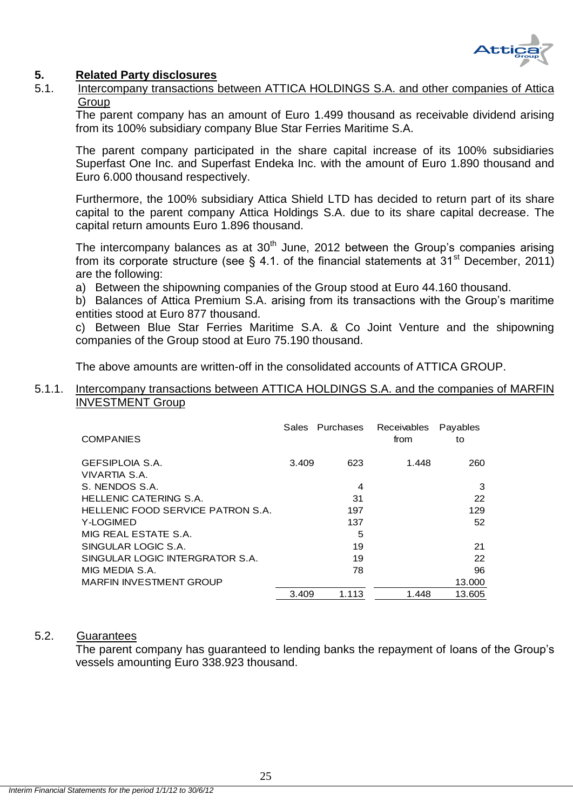

## <span id="page-25-0"></span>**5. Related Party disclosures**

<span id="page-25-1"></span>5.1. Intercompany transactions between ATTICA HOLDINGS S.A. and other companies of Attica **Group** 

The parent company has an amount of Euro 1.499 thousand as receivable dividend arising from its 100% subsidiary company Blue Star Ferries Maritime S.A.

The parent company participated in the share capital increase of its 100% subsidiaries Superfast One Inc. and Superfast Endeka Inc. with the amount of Euro 1.890 thousand and Euro 6.000 thousand respectively.

Furthermore, the 100% subsidiary Attica Shield LTD has decided to return part of its share capital to the parent company Attica Holdings S.A. due to its share capital decrease. The capital return amounts Euro 1.896 thousand.

The intercompany balances as at  $30<sup>th</sup>$  June, 2012 between the Group's companies arising from its corporate structure (see  $\S$  4.1. of the financial statements at 31<sup>st</sup> December, 2011) are the following:

- a) Between the shipowning companies of the Group stood at Euro 44.160 thousand.
- b) Balances of Attica Premium S.A. arising from its transactions with the Group's maritime entities stood at Euro 877 thousand.

c) Between Blue Star Ferries Maritime S.A. & Co Joint Venture and the shipowning companies of the Group stood at Euro 75.190 thousand.

The above amounts are written-off in the consolidated accounts of ATTICA GROUP.

## <span id="page-25-2"></span>5.1.1. Intercompany transactions between ATTICA HOLDINGS S.A. and the companies of MARFIN INVESTMENT Group

| Sales | <b>Purchases</b> | Receivables<br>from | Payables<br>to |
|-------|------------------|---------------------|----------------|
|       | 623              | 1.448               | 260            |
|       | 4                |                     | 3              |
|       | 31               |                     | 22             |
|       | 197              |                     | 129            |
|       | 137              |                     | 52             |
|       | 5                |                     |                |
|       | 19               |                     | 21             |
|       | 19               |                     | 22             |
|       | 78               |                     | 96             |
|       |                  |                     | 13.000         |
|       | 1.113            | 1.448               | 13.605         |
|       | 3.409<br>3.409   |                     |                |

### <span id="page-25-3"></span>5.2. Guarantees

The parent company has guaranteed to lending banks the repayment of loans of the Group's vessels amounting Euro 338.923 thousand.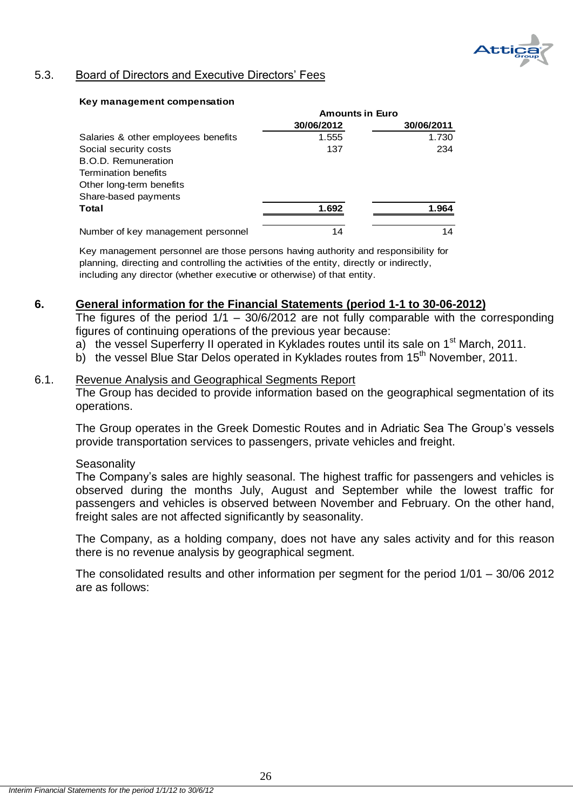

## <span id="page-26-0"></span>5.3. Board of Directors and Executive Directors' Fees

#### **Key management compensation**

|                                     | <b>Amounts in Euro</b> |            |  |
|-------------------------------------|------------------------|------------|--|
|                                     | 30/06/2012             | 30/06/2011 |  |
| Salaries & other employees benefits | 1.555                  | 1.730      |  |
| Social security costs               | 137                    | 234        |  |
| <b>B.O.D. Remuneration</b>          |                        |            |  |
| <b>Termination benefits</b>         |                        |            |  |
| Other long-term benefits            |                        |            |  |
| Share-based payments                |                        |            |  |
| Total                               | 1.692                  | 1.964      |  |
| Number of key management personnel  | 14                     | 14         |  |

Key management personnel are those persons having authority and responsibility for planning, directing and controlling the activities of the entity, directly or indirectly, including any director (whether executive or otherwise) of that entity.

### <span id="page-26-1"></span>**6. General information for the Financial Statements (period 1-1 to 30-06-2012)**

The figures of the period  $1/1 - 30/6/2012$  are not fully comparable with the corresponding figures of continuing operations of the previous year because:

- a) the vessel Superferry II operated in Kyklades routes until its sale on 1<sup>st</sup> March, 2011.
- b) the vessel Blue Star Delos operated in Kyklades routes from  $15<sup>th</sup>$  November, 2011.

#### <span id="page-26-2"></span>6.1. Revenue Analysis and Geographical Segments Report

The Group has decided to provide information based on the geographical segmentation of its operations.

The Group operates in the Greek Domestic Routes and in Adriatic Sea The Group's vessels provide transportation services to passengers, private vehicles and freight.

#### **Seasonality**

The Company's sales are highly seasonal. The highest traffic for passengers and vehicles is observed during the months July, August and September while the lowest traffic for passengers and vehicles is observed between November and February. On the other hand, freight sales are not affected significantly by seasonality.

The Company, as a holding company, does not have any sales activity and for this reason there is no revenue analysis by geographical segment.

The consolidated results and other information per segment for the period 1/01 – 30/06 2012 are as follows: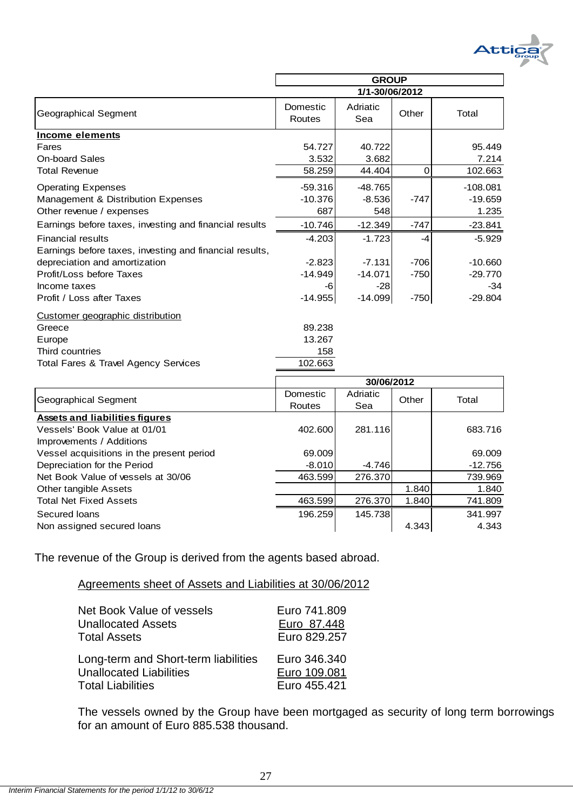

|                                                         | <b>GROUP</b>       |                 |        |            |
|---------------------------------------------------------|--------------------|-----------------|--------|------------|
|                                                         | 1/1-30/06/2012     |                 |        |            |
| Geographical Segment                                    | Domestic<br>Routes | Adriatic<br>Sea | Other  | Total      |
| Income elements                                         |                    |                 |        |            |
| Fares                                                   | 54.727             | 40.722          |        | 95.449     |
| <b>On-board Sales</b>                                   | 3.532              | 3.682           |        | 7.214      |
| <b>Total Revenue</b>                                    | 58.259             | 44.404          | 0      | 102.663    |
| <b>Operating Expenses</b>                               | $-59.316$          | $-48.765$       |        | $-108.081$ |
| Management & Distribution Expenses                      | $-10.376$          | $-8.536$        | $-747$ | $-19.659$  |
| Other revenue / expenses                                | 687                | 548             |        | 1.235      |
| Earnings before taxes, investing and financial results  | $-10.746$          | $-12.349$       | $-747$ | $-23.841$  |
| <b>Financial results</b>                                | $-4.203$           | $-1.723$        | -4     | $-5.929$   |
| Earnings before taxes, investing and financial results, |                    |                 |        |            |
| depreciation and amortization                           | $-2.823$           | $-7.131$        | $-706$ | $-10.660$  |
| Profit/Loss before Taxes                                | $-14.949$          | $-14.071$       | $-750$ | $-29.770$  |
| Income taxes                                            | -6                 | $-28$           |        | $-34$      |
| Profit / Loss after Taxes                               | $-14.955$          | $-14.099$       | $-750$ | $-29.804$  |
| Customer geographic distribution                        |                    |                 |        |            |
| Greece                                                  | 89.238             |                 |        |            |
| Europe                                                  | 13.267             |                 |        |            |
| Third countries                                         | 158                |                 |        |            |
| <b>Total Fares &amp; Travel Agency Services</b>         | 102.663            |                 |        |            |
|                                                         |                    | 30/06/2012      |        |            |
|                                                         | Domestic           | Adriatic        |        |            |

|                                           | <b>JUIUUI ZU I Z</b> |          |       |           |
|-------------------------------------------|----------------------|----------|-------|-----------|
| Geographical Segment                      | Domestic             | Adriatic | Other | Total     |
|                                           | Routes               | Sea      |       |           |
| <b>Assets and liabilities figures</b>     |                      |          |       |           |
| Vessels' Book Value at 01/01              | 402.600              | 281.116  |       | 683.716   |
| Improvements / Additions                  |                      |          |       |           |
| Vessel acquisitions in the present period | 69.009               |          |       | 69.009    |
| Depreciation for the Period               | $-8.010$             | $-4.746$ |       | $-12.756$ |
| Net Book Value of vessels at 30/06        | 463.599              | 276.370  |       | 739.969   |
| Other tangible Assets                     |                      |          | 1.840 | 1.840     |
| <b>Total Net Fixed Assets</b>             | 463.599              | 276.370  | 1.840 | 741.809   |
| Secured Ioans                             | 196.259              | 145.738  |       | 341.997   |
| Non assigned secured loans                |                      |          | 4.343 | 4.343     |
|                                           |                      |          |       |           |

The revenue of the Group is derived from the agents based abroad.

Agreements sheet of Assets and Liabilities at 30/06/2012

| Net Book Value of vessels            | Euro 741,809 |
|--------------------------------------|--------------|
| <b>Unallocated Assets</b>            | Euro 87.448  |
| Total Assets                         | Euro 829.257 |
| Long-term and Short-term liabilities | Euro 346,340 |
| <b>Unallocated Liabilities</b>       | Euro 109.081 |
| <b>Total Liabilities</b>             | Euro 455.421 |

The vessels owned by the Group have been mortgaged as security of long term borrowings for an amount of Euro 885.538 thousand.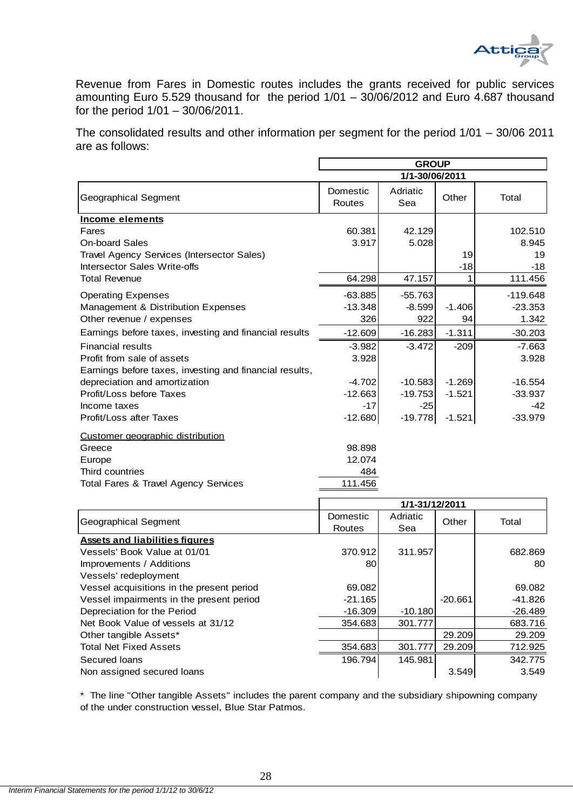

Revenue from Fares in Domestic routes includes the grants received for public services amounting Euro 5.529 thousand for the period 1/01 – 30/06/2012 and Euro 4.687 thousand for the period 1/01 – 30/06/2011.

The consolidated results and other information per segment for the period 1/01 – 30/06 2011 are as follows:

|                                                         | <b>GROUP</b>       |                 |          |            |
|---------------------------------------------------------|--------------------|-----------------|----------|------------|
|                                                         | 1/1-30/06/2011     |                 |          |            |
| <b>Geographical Segment</b>                             | Domestic<br>Routes | Adriatic<br>Sea | Other    | Total      |
| Income elements                                         |                    |                 |          |            |
| Fares                                                   | 60.381             | 42.129          |          | 102.510    |
| <b>On-board Sales</b>                                   | 3.917              | 5.028           |          | 8.945      |
| Travel Agency Services (Intersector Sales)              |                    |                 | 19       | 19         |
| Intersector Sales Write-offs                            |                    |                 | $-18$    | $-18$      |
| <b>Total Revenue</b>                                    | 64.298             | 47.157          | 1        | 111.456    |
| <b>Operating Expenses</b>                               | $-63.885$          | $-55.763$       |          | $-119.648$ |
| Management & Distribution Expenses                      | $-13.348$          | $-8.599$        | $-1.406$ | $-23.353$  |
| Other revenue / expenses                                | 326                | 922             | 94       | 1.342      |
| Earnings before taxes, investing and financial results  | $-12.609$          | $-16.283$       | $-1.311$ | $-30.203$  |
| <b>Financial results</b>                                | $-3.982$           | $-3.472$        | $-209$   | $-7.663$   |
| Profit from sale of assets                              | 3.928              |                 |          | 3.928      |
| Earnings before taxes, investing and financial results, |                    |                 |          |            |
| depreciation and amortization                           | $-4.702$           | $-10.583$       | $-1.269$ | $-16.554$  |
| Profit/Loss before Taxes                                | $-12.663$          | $-19.753$       | $-1.521$ | $-33.937$  |
| Income taxes                                            | $-17$              | $-25$           |          | $-42$      |
| Profit/Loss after Taxes                                 | $-12.680$          | $-19.778$       | $-1.521$ | $-33.979$  |
| Customer geographic distribution                        |                    |                 |          |            |
| Greece                                                  | 98.898             |                 |          |            |
| Europe                                                  | 12.074             |                 |          |            |
| Third countries                                         | 484                |                 |          |            |
| Total Fares & Travel Agency Services                    | 111.456            |                 |          |            |

|                                           |           | 1/1-31/12/2011 |           |           |  |
|-------------------------------------------|-----------|----------------|-----------|-----------|--|
|                                           | Domestic  | Adriatic       | Other     | Total     |  |
| Geographical Segment                      | Routes    | Sea            |           |           |  |
| <b>Assets and liabilities figures</b>     |           |                |           |           |  |
| Vessels' Book Value at 01/01              | 370.912   | 311.957        |           | 682.869   |  |
| Improvements / Additions                  | 80        |                |           | 80        |  |
| Vessels' redeployment                     |           |                |           |           |  |
| Vessel acquisitions in the present period | 69.082    |                |           | 69.082    |  |
| Vessel impairments in the present period  | $-21.165$ |                | $-20.661$ | $-41.826$ |  |
| Depreciation for the Period               | $-16.309$ | $-10.180$      |           | $-26.489$ |  |
| Net Book Value of vessels at 31/12        | 354.683   | 301.777        |           | 683.716   |  |
| Other tangible Assets*                    |           |                | 29.209    | 29.209    |  |
| <b>Total Net Fixed Assets</b>             | 354.683   | 301.777        | 29.209    | 712.925   |  |
| Secured Ioans                             | 196.794   | 145.981        |           | 342.775   |  |
| Non assigned secured loans                |           |                | 3.549     | 3.549     |  |

\* The line "Other tangible Assets" includes the parent company and the subsidiary shipowning company of the under construction vessel, Blue Star Patmos.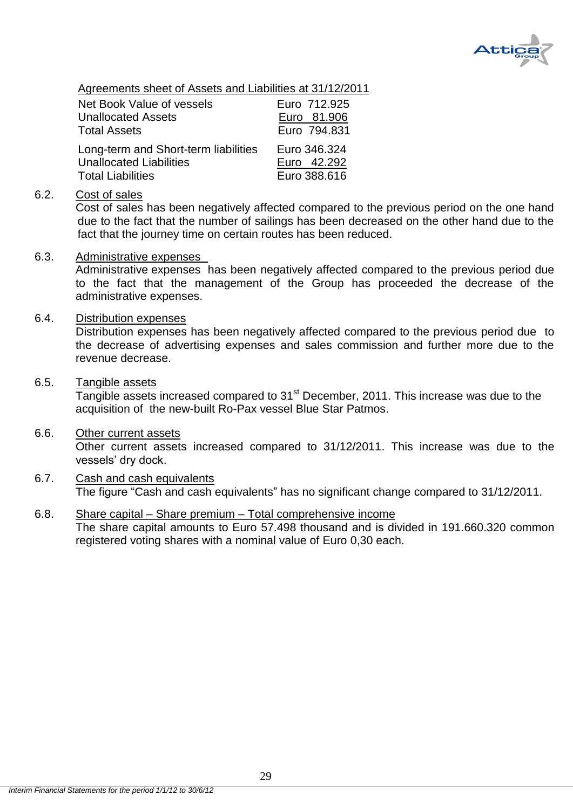

Agreements sheet of Assets and Liabilities at 31/12/2011

| <b>Net Book Value of vessels</b>     | Euro 712.925 |
|--------------------------------------|--------------|
| <b>Unallocated Assets</b>            | Euro 81.906  |
| <b>Total Assets</b>                  | Euro 794,831 |
| Long-term and Short-term liabilities | Euro 346.324 |
| <b>Unallocated Liabilities</b>       | Euro 42.292  |
| <b>Total Liabilities</b>             | Euro 388.616 |

## <span id="page-29-0"></span>6.2. Cost of sales

Cost of sales has been negatively affected compared to the previous period on the one hand due to the fact that the number of sailings has been decreased on the other hand due to the fact that the journey time on certain routes has been reduced.

### <span id="page-29-1"></span>6.3. Administrative expenses

Administrative expenses has been negatively affected compared to the previous period due to the fact that the management of the Group has proceeded the decrease of the administrative expenses.

## <span id="page-29-2"></span>6.4. Distribution expenses

Distribution expenses has been negatively affected compared to the previous period due to the decrease of advertising expenses and sales commission and further more due to the revenue decrease.

### <span id="page-29-3"></span>6.5. Tangible assets

Tangible assets increased compared to 31<sup>st</sup> December, 2011. This increase was due to the acquisition of the new-built Ro-Pax vessel Blue Star Patmos.

### <span id="page-29-4"></span>6.6. Other current assets

Other current assets increased compared to 31/12/2011. This increase was due to the vessels' dry dock.

## <span id="page-29-5"></span>6.7. Cash and cash equivalents The figure "Cash and cash equivalents" has no significant change compared to 31/12/2011.

## <span id="page-29-6"></span>6.8. Share capital – Share premium – Total comprehensive income

The share capital amounts to Euro 57.498 thousand and is divided in 191.660.320 common registered voting shares with a nominal value of Euro 0,30 each.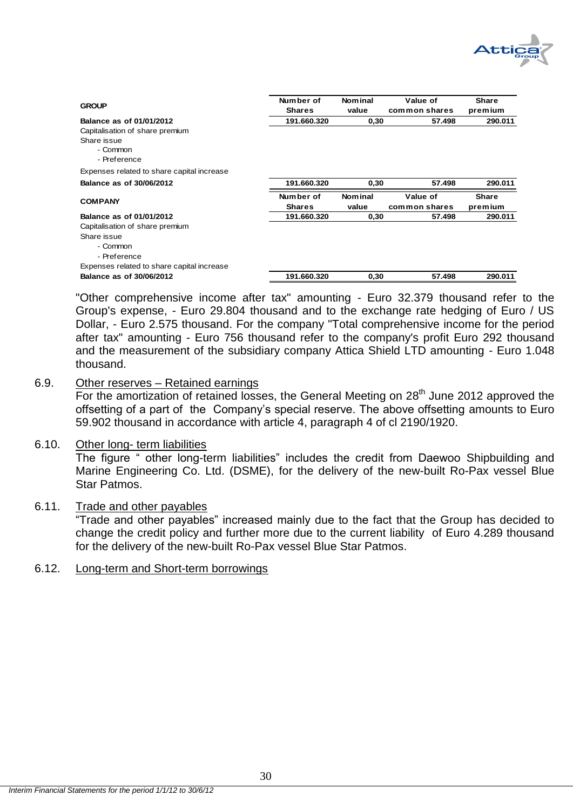

| <b>GROUP</b>                               | Number of     | <b>Nominal</b> | Value of      | <b>Share</b> |
|--------------------------------------------|---------------|----------------|---------------|--------------|
|                                            | <b>Shares</b> | value          | common shares | premium      |
| Balance as of 01/01/2012                   | 191.660.320   | 0,30           | 57.498        | 290.011      |
| Capitalisation of share premium            |               |                |               |              |
| Share issue                                |               |                |               |              |
| - Common                                   |               |                |               |              |
| - Preference                               |               |                |               |              |
| Expenses related to share capital increase |               |                |               |              |
| Balance as of 30/06/2012                   | 191.660.320   | 0,30           | 57.498        | 290.011      |
|                                            | Number of     | <b>Nominal</b> | Value of      | <b>Share</b> |
| <b>COMPANY</b>                             | <b>Shares</b> | value          | common shares | premium      |
| Balance as of 01/01/2012                   | 191.660.320   | 0,30           | 57.498        | 290.011      |
| Capitalisation of share premium            |               |                |               |              |
| Share issue                                |               |                |               |              |
| - Common                                   |               |                |               |              |
| - Preference                               |               |                |               |              |
| Expenses related to share capital increase |               |                |               |              |
| Balance as of 30/06/2012                   | 191.660.320   | 0,30           | 57.498        | 290.011      |

"Other comprehensive income after tax" amounting - Euro 32.379 thousand refer to the Group's expense, - Euro 29.804 thousand and to the exchange rate hedging of Euro / US Dollar, - Euro 2.575 thousand. For the company "Total comprehensive income for the period after tax" amounting - Euro 756 thousand refer to the company's profit Euro 292 thousand and the measurement of the subsidiary company Attica Shield LTD amounting - Euro 1.048 thousand.

## <span id="page-30-0"></span>6.9. Other reserves – Retained earnings

For the amortization of retained losses, the General Meeting on 28<sup>th</sup> June 2012 approved the offsetting of a part of the Company's special reserve. The above offsetting amounts to Euro 59.902 thousand in accordance with article 4, paragraph 4 of cl 2190/1920.

### <span id="page-30-1"></span>6.10. Other long- term liabilities

The figure " other long-term liabilities" includes the credit from Daewoo Shipbuilding and Marine Engineering Co. Ltd. (DSME), for the delivery of the new-built Ro-Pax vessel Blue Star Patmos.

## <span id="page-30-2"></span>6.11. Trade and other payables

―Trade and other payables‖ increased mainly due to the fact that the Group has decided to change the credit policy and further more due to the current liability of Euro 4.289 thousand for the delivery of the new-built Ro-Pax vessel Blue Star Patmos.

## <span id="page-30-3"></span>6.12. Long-term and Short-term borrowings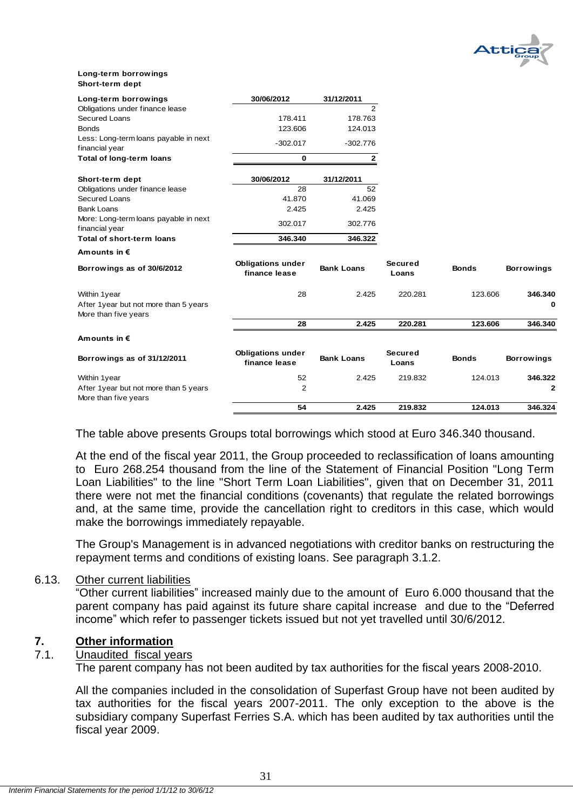

#### **Long-term borrowings Short-term dept**

| Long-term borrowings                                    | 30/06/2012                                | 31/12/2011        |                         |              |                   |
|---------------------------------------------------------|-------------------------------------------|-------------------|-------------------------|--------------|-------------------|
| Obligations under finance lease                         |                                           | 2                 |                         |              |                   |
| Secured Loans                                           | 178.411                                   | 178.763           |                         |              |                   |
| <b>Bonds</b>                                            | 123.606                                   | 124.013           |                         |              |                   |
| Less: Long-term loans payable in next<br>financial year | $-302.017$                                | $-302.776$        |                         |              |                   |
| <b>Total of long-term loans</b>                         | 0                                         | $\mathbf{2}$      |                         |              |                   |
| Short-term dept                                         | 30/06/2012                                | 31/12/2011        |                         |              |                   |
| Obligations under finance lease                         | 28                                        | 52                |                         |              |                   |
| <b>Secured Loans</b>                                    | 41.870                                    | 41.069            |                         |              |                   |
| <b>Bank Loans</b>                                       | 2.425                                     | 2.425             |                         |              |                   |
| More: Long-term loans payable in next<br>financial year | 302.017                                   | 302.776           |                         |              |                   |
| Total of short-term loans                               | 346.340                                   | 346.322           |                         |              |                   |
| Amounts in €                                            |                                           |                   |                         |              |                   |
| Borrowings as of 30/6/2012                              | <b>Obligations under</b><br>finance lease | <b>Bank Loans</b> | <b>Secured</b><br>Loans | <b>Bonds</b> | <b>Borrowings</b> |
| Within 1year                                            | 28                                        | 2.425             | 220.281                 | 123.606      | 346.340           |
| After 1year but not more than 5 years                   |                                           |                   |                         |              | 0                 |
| More than five years                                    |                                           |                   |                         |              |                   |
|                                                         | 28                                        | 2.425             | 220.281                 | 123.606      | 346.340           |
| Amounts in $\epsilon$                                   |                                           |                   |                         |              |                   |
| Borrowings as of 31/12/2011                             | <b>Obligations under</b><br>finance lease | <b>Bank Loans</b> | <b>Secured</b><br>Loans | <b>Bonds</b> | <b>Borrowings</b> |
| Within 1year                                            | 52                                        | 2.425             | 219.832                 | 124.013      | 346.322           |
| After 1year but not more than 5 years                   | $\overline{2}$                            |                   |                         |              | 2                 |
| More than five years                                    | 54                                        | 2.425             | 219.832                 | 124.013      | 346.324           |

The table above presents Groups total borrowings which stood at Euro 346.340 thousand.

At the end of the fiscal year 2011, the Group proceeded to reclassification of loans amounting to Euro 268.254 thousand from the line of the Statement of Financial Position "Long Term Loan Liabilities" to the line "Short Term Loan Liabilities", given that on December 31, 2011 there were not met the financial conditions (covenants) that regulate the related borrowings and, at the same time, provide the cancellation right to creditors in this case, which would make the borrowings immediately repayable.

The Group's Management is in advanced negotiations with creditor banks on restructuring the repayment terms and conditions of existing loans. See paragraph 3.1.2.

### <span id="page-31-0"></span>6.13. Other current liabilities

―Other current liabilities‖ increased mainly due to the amount of Euro 6.000 thousand that the parent company has paid against its future share capital increase and due to the "Deferred income" which refer to passenger tickets issued but not vet travelled until 30/6/2012.

## <span id="page-31-1"></span>**7. Other information**

### <span id="page-31-2"></span>7.1. Unaudited fiscal years

The parent company has not been audited by tax authorities for the fiscal years 2008-2010.

All the companies included in the consolidation of Superfast Group have not been audited by tax authorities for the fiscal years 2007-2011. The only exception to the above is the subsidiary company Superfast Ferries S.A. which has been audited by tax authorities until the fiscal year 2009.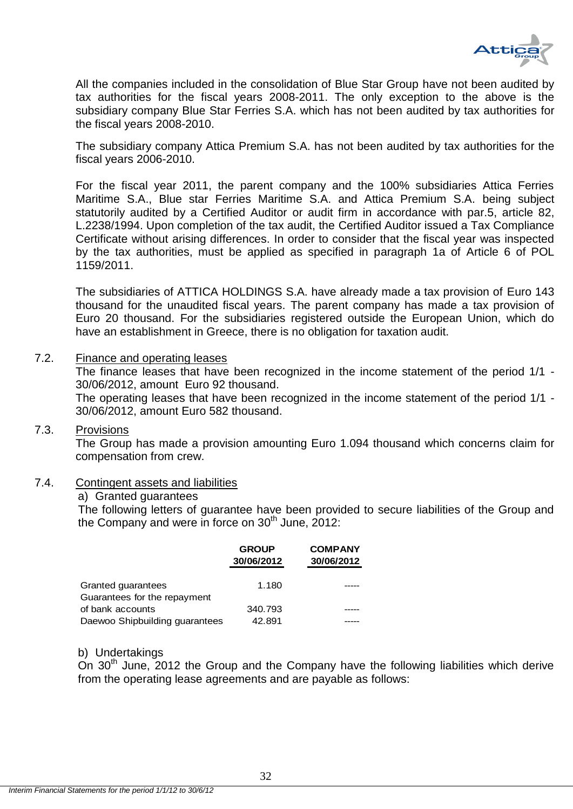

All the companies included in the consolidation of Blue Star Group have not been audited by tax authorities for the fiscal years 2008-2011. The only exception to the above is the subsidiary company Blue Star Ferries S.A. which has not been audited by tax authorities for the fiscal years 2008-2010.

The subsidiary company Attica Premium S.A. has not been audited by tax authorities for the fiscal years 2006-2010.

For the fiscal year 2011, the parent company and the 100% subsidiaries Attica Ferries Maritime S.A., Blue star Ferries Maritime S.A. and Attica Premium S.A. being subject statutorily audited by a Certified Auditor or audit firm in accordance with par.5, article 82, L.2238/1994. Upon completion of the tax audit, the Certified Auditor issued a Tax Compliance Certificate without arising differences. In order to consider that the fiscal year was inspected by the tax authorities, must be applied as specified in paragraph 1a of Article 6 of POL 1159/2011.

The subsidiaries of ATTICA HOLDINGS S.A. have already made a tax provision of Euro 143 thousand for the unaudited fiscal years. The parent company has made a tax provision of Euro 20 thousand. For the subsidiaries registered outside the European Union, which do have an establishment in Greece, there is no obligation for taxation audit.

## <span id="page-32-0"></span>7.2. Finance and operating leases

The finance leases that have been recognized in the income statement of the period 1/1 - 30/06/2012, amount Euro 92 thousand.

The operating leases that have been recognized in the income statement of the period 1/1 - 30/06/2012, amount Euro 582 thousand.

## <span id="page-32-1"></span>7.3. Provisions

The Group has made a provision amounting Euro 1.094 thousand which concerns claim for compensation from crew.

### <span id="page-32-2"></span>7.4. Contingent assets and liabilities

### a) Granted guarantees

The following letters of guarantee have been provided to secure liabilities of the Group and the Company and were in force on 30<sup>th</sup> June, 2012:

|                                                    | <b>GROUP</b><br>30/06/2012 | <b>COMPANY</b><br>30/06/2012 |
|----------------------------------------------------|----------------------------|------------------------------|
| Granted guarantees<br>Guarantees for the repayment | 1.180                      |                              |
| of bank accounts                                   | 340.793                    |                              |
| Daewoo Shipbuilding guarantees                     | 42.891                     |                              |

### b) Undertakings

On 30<sup>th</sup> June, 2012 the Group and the Company have the following liabilities which derive from the operating lease agreements and are payable as follows: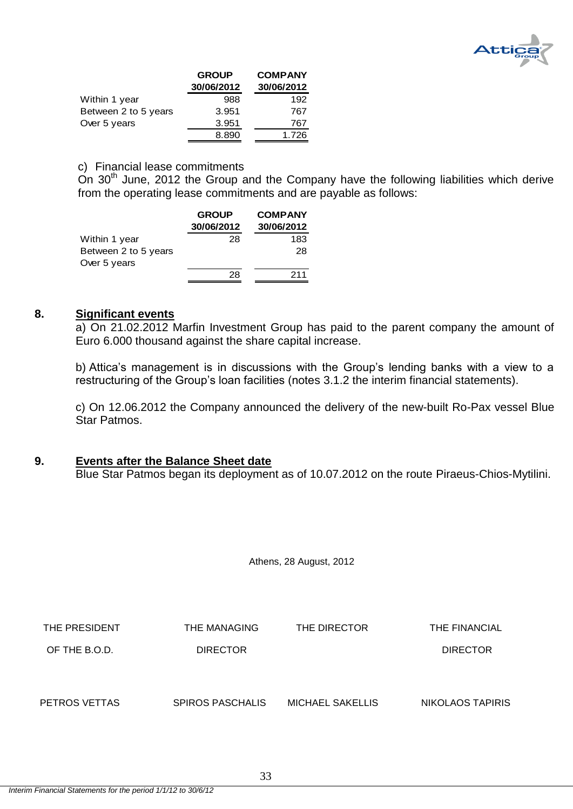

|                      | <b>GROUP</b> | <b>COMPANY</b> |
|----------------------|--------------|----------------|
|                      | 30/06/2012   | 30/06/2012     |
| Within 1 year        | 988          | 192            |
| Between 2 to 5 years | 3.951        | 767            |
| Over 5 years         | 3.951        | 767            |
|                      | 8.890        | 1.726          |

### c) Financial lease commitments

On  $30<sup>th</sup>$  June, 2012 the Group and the Company have the following liabilities which derive from the operating lease commitments and are payable as follows:

|                      | <b>GROUP</b> | <b>COMPANY</b> |  |  |
|----------------------|--------------|----------------|--|--|
|                      | 30/06/2012   | 30/06/2012     |  |  |
| Within 1 year        | 28           | 183            |  |  |
| Between 2 to 5 years |              | 28             |  |  |
| Over 5 years         |              |                |  |  |
|                      | 28           | 211            |  |  |

#### <span id="page-33-0"></span>**8. Significant events**

a) On 21.02.2012 Marfin Investment Group has paid to the parent company the amount of Euro 6.000 thousand against the share capital increase.

b) Attica's management is in discussions with the Group's lending banks with a view to a restructuring of the Group's loan facilities (notes 3.1.2 the interim financial statements).

c) On 12.06.2012 the Company announced the delivery of the new-built Ro-Pax vessel Blue Star Patmos.

## <span id="page-33-1"></span>**9. Events after the Balance Sheet date**

Blue Star Patmos began its deployment as of 10.07.2012 on the route Piraeus-Chios-Mytilini.

Athens, 28 August, 2012

| THE PRESIDENT | THE MANAGING            | THE DIRECTOR            | THE FINANCIAL    |
|---------------|-------------------------|-------------------------|------------------|
| OF THE B.O.D. | <b>DIRECTOR</b>         |                         | <b>DIRECTOR</b>  |
|               |                         |                         |                  |
|               |                         |                         |                  |
| PETROS VETTAS | <b>SPIROS PASCHALIS</b> | <b>MICHAEL SAKELLIS</b> | NIKOLAOS TAPIRIS |
|               |                         |                         |                  |